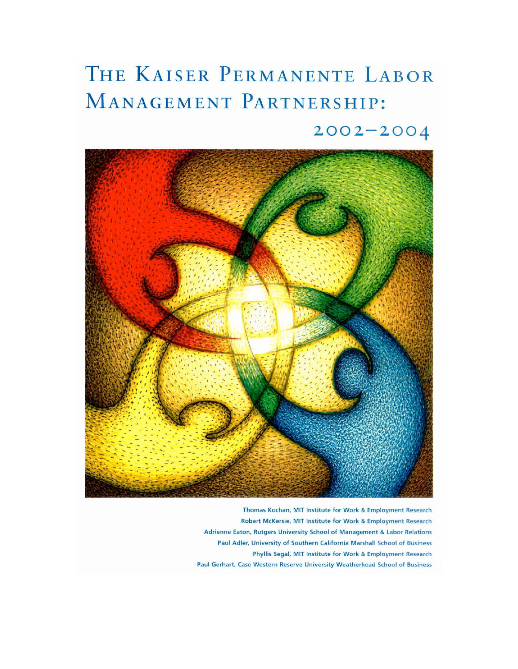# THE KAISER PERMANENTE LABOR MANAGEMENT PARTNERSHIP:

## $2002 - 2004$



Thomas Kochan, MIT Institute for Work & Employment Research Robert McKersie, MIT Institute for Work & Employment Research Adrienne Eaton, Rutgers University School of Management & Labor Relations Paul Adler, University of Southern California Marshall School of Business Phyllis Segal, MIT Institute for Work & Employment Research Paul Gerhart, Case Western Reserve University Weatherhead School of Business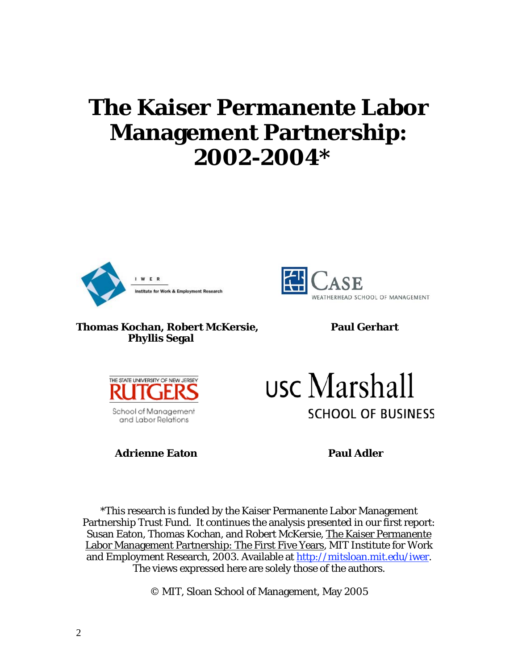## **The Kaiser Permanente Labor Management Partnership: 2002-2004\***





#### **Thomas Kochan, Robert McKersie, Thomas Kochan, Robert McKersie, Robert and Paul Gerhart Phyllis Segal**



School of Management and Labor Relations

**Adrienne Eaton Paul Adler** 

usc Marshall **SCHOOL OF BUSINESS** 

\*This research is funded by the Kaiser Permanente Labor Management Partnership Trust Fund. It continues the analysis presented in our first report: Susan Eaton, Thomas Kochan, and Robert McKersie, The Kaiser Permanente Labor Management Partnership: The First Five Years, MIT Institute for Work and Employment Research, 2003. Available at http://mitsloan.mit.edu/iwer. The views expressed here are solely those of the authors.

© MIT, Sloan School of Management, May 2005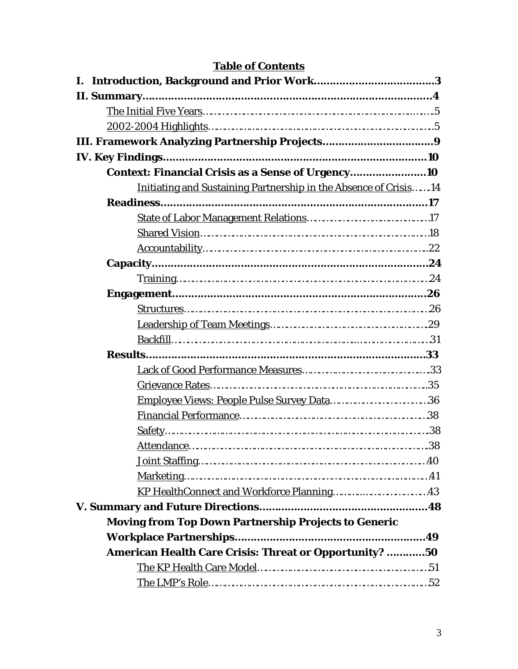| <b>Table of Contents</b>                                          |  |  |
|-------------------------------------------------------------------|--|--|
|                                                                   |  |  |
|                                                                   |  |  |
|                                                                   |  |  |
|                                                                   |  |  |
|                                                                   |  |  |
|                                                                   |  |  |
| Context: Financial Crisis as a Sense of Urgency                   |  |  |
| Initiating and Sustaining Partnership in the Absence of Crisis 14 |  |  |
|                                                                   |  |  |
|                                                                   |  |  |
|                                                                   |  |  |
|                                                                   |  |  |
|                                                                   |  |  |
|                                                                   |  |  |
|                                                                   |  |  |
|                                                                   |  |  |
|                                                                   |  |  |
|                                                                   |  |  |
|                                                                   |  |  |
|                                                                   |  |  |
|                                                                   |  |  |
|                                                                   |  |  |
|                                                                   |  |  |
|                                                                   |  |  |
|                                                                   |  |  |
|                                                                   |  |  |
|                                                                   |  |  |
|                                                                   |  |  |
|                                                                   |  |  |
| Moving from Top Down Partnership Projects to Generic              |  |  |
|                                                                   |  |  |
| American Health Care Crisis: Threat or Opportunity? 50            |  |  |
|                                                                   |  |  |
|                                                                   |  |  |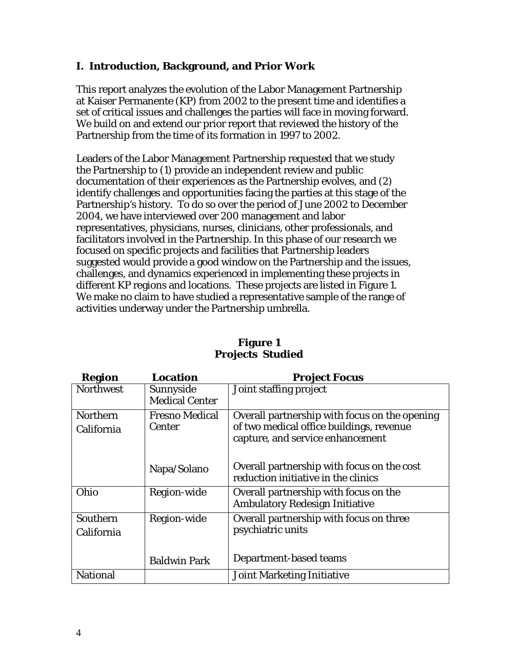## **I. Introduction, Background, and Prior Work**

This report analyzes the evolution of the Labor Management Partnership at Kaiser Permanente (KP) from 2002 to the present time and identifies a set of critical issues and challenges the parties will face in moving forward. We build on and extend our prior report that reviewed the history of the Partnership from the time of its formation in 1997 to 2002.

Leaders of the Labor Management Partnership requested that we study the Partnership to (1) provide an independent review and public documentation of their experiences as the Partnership evolves, and (2) identify challenges and opportunities facing the parties at this stage of the Partnership's history. To do so over the period of June 2002 to December 2004, we have interviewed over 200 management and labor representatives, physicians, nurses, clinicians, other professionals, and facilitators involved in the Partnership. In this phase of our research we focused on specific projects and facilities that Partnership leaders suggested would provide a good window on the Partnership and the issues, challenges, and dynamics experienced in implementing these projects in different KP regions and locations. These projects are listed in Figure 1. We make no claim to have studied a representative sample of the range of activities underway under the Partnership umbrella.

| Region           | Location              | <b>Project Focus</b>                          |
|------------------|-----------------------|-----------------------------------------------|
| <b>Northwest</b> | Sunnyside             | Joint staffing project                        |
|                  | <b>Medical Center</b> |                                               |
| <b>Northern</b>  | <b>Fresno Medical</b> | Overall partnership with focus on the opening |
| California       | Center                | of two medical office buildings, revenue      |
|                  |                       | capture, and service enhancement              |
|                  |                       |                                               |
|                  | Napa/Solano           | Overall partnership with focus on the cost    |
|                  |                       | reduction initiative in the clinics           |
| Ohio             | Region-wide           | Overall partnership with focus on the         |
|                  |                       | Ambulatory Redesign Initiative                |
| Southern         | Region-wide           | Overall partnership with focus on three       |
| California       |                       | psychiatric units                             |
|                  |                       |                                               |
|                  | <b>Baldwin Park</b>   | Department-based teams                        |
| National         |                       | Joint Marketing Initiative                    |

## **Figure 1 Projects Studied**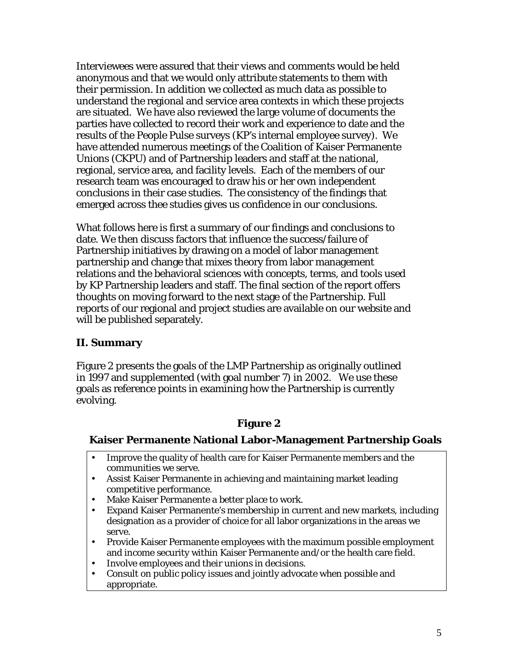Interviewees were assured that their views and comments would be held anonymous and that we would only attribute statements to them with their permission. In addition we collected as much data as possible to understand the regional and service area contexts in which these projects are situated. We have also reviewed the large volume of documents the parties have collected to record their work and experience to date and the results of the People Pulse surveys (KP's internal employee survey). We have attended numerous meetings of the Coalition of Kaiser Permanente Unions (CKPU) and of Partnership leaders and staff at the national, regional, service area, and facility levels. Each of the members of our research team was encouraged to draw his or her own independent conclusions in their case studies. The consistency of the findings that emerged across thee studies gives us confidence in our conclusions.

What follows here is first a summary of our findings and conclusions to date. We then discuss factors that influence the success/failure of Partnership initiatives by drawing on a model of labor management partnership and change that mixes theory from labor management relations and the behavioral sciences with concepts, terms, and tools used by KP Partnership leaders and staff. The final section of the report offers thoughts on moving forward to the next stage of the Partnership. Full reports of our regional and project studies are available on our website and will be published separately.

## **II. Summary**

Figure 2 presents the goals of the LMP Partnership as originally outlined in 1997 and supplemented (with goal number 7) in 2002. We use these goals as reference points in examining how the Partnership is currently evolving.

## **Figure 2**

## **Kaiser Permanente National Labor-Management Partnership Goals**

- Improve the quality of health care for Kaiser Permanente members and the communities we serve.
- Assist Kaiser Permanente in achieving and maintaining market leading competitive performance.
- Make Kaiser Permanente a better place to work.<br>• Expand Kaiser Permanente's membership in cur
- Expand Kaiser Permanente's membership in current and new markets, including designation as a provider of choice for all labor organizations in the areas we serve.
- Provide Kaiser Permanente employees with the maximum possible employment and income security within Kaiser Permanente and/or the health care field.
- Involve employees and their unions in decisions.
- Consult on public policy issues and jointly advocate when possible and appropriate.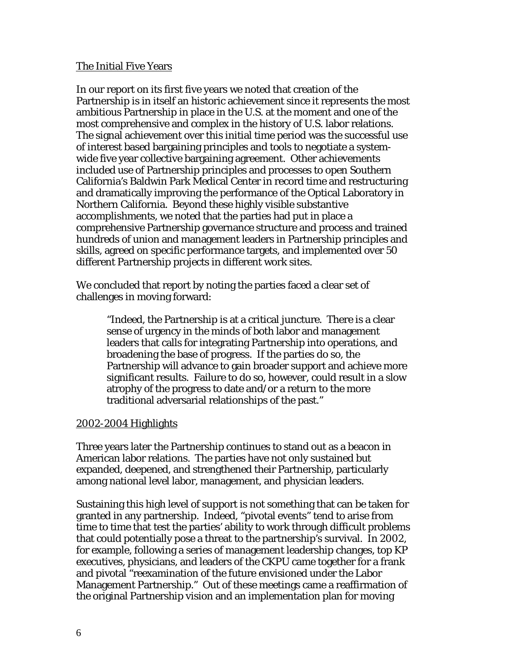#### The Initial Five Years

In our report on its first five years we noted that creation of the Partnership is in itself an historic achievement since it represents the most ambitious Partnership in place in the U.S. at the moment and one of the most comprehensive and complex in the history of U.S. labor relations. The signal achievement over this initial time period was the successful use of interest based bargaining principles and tools to negotiate a systemwide five year collective bargaining agreement. Other achievements included use of Partnership principles and processes to open Southern California's Baldwin Park Medical Center in record time and restructuring and dramatically improving the performance of the Optical Laboratory in Northern California. Beyond these highly visible substantive accomplishments, we noted that the parties had put in place a comprehensive Partnership governance structure and process and trained hundreds of union and management leaders in Partnership principles and skills, agreed on specific performance targets, and implemented over 50 different Partnership projects in different work sites.

We concluded that report by noting the parties faced a clear set of challenges in moving forward:

> "Indeed, the Partnership is at a critical juncture. There is a clear sense of urgency in the minds of both labor and management leaders that calls for integrating Partnership into operations, and broadening the base of progress. If the parties do so, the Partnership will advance to gain broader support and achieve more significant results. Failure to do so, however, could result in a slow atrophy of the progress to date and/or a return to the more traditional adversarial relationships of the past."

#### 2002-2004 Highlights

Three years later the Partnership continues to stand out as a beacon in American labor relations. The parties have not only sustained but expanded, deepened, and strengthened their Partnership, particularly among national level labor, management, and physician leaders.

Sustaining this high level of support is not something that can be taken for granted in any partnership. Indeed, "pivotal events" tend to arise from time to time that test the parties' ability to work through difficult problems that could potentially pose a threat to the partnership's survival. In 2002, for example, following a series of management leadership changes, top KP executives, physicians, and leaders of the CKPU came together for a frank and pivotal "reexamination of the future envisioned under the Labor Management Partnership." Out of these meetings came a reaffirmation of the original Partnership vision and an implementation plan for moving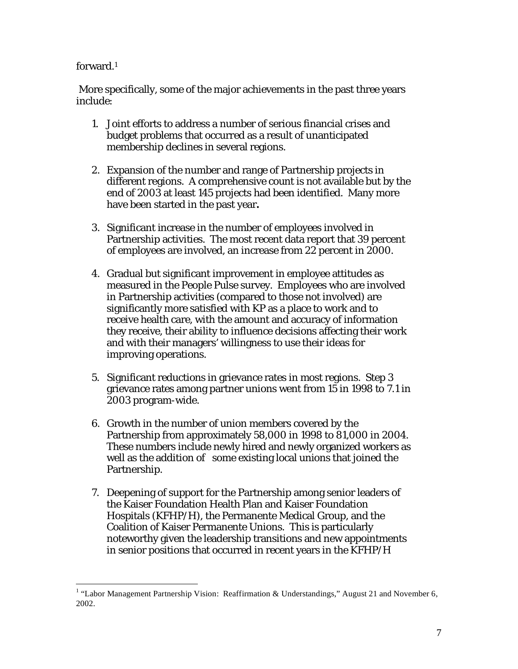#### forward.1

 More specifically, some of the major achievements in the past three years include:

- 1. Joint efforts to address a number of serious financial crises and budget problems that occurred as a result of unanticipated membership declines in several regions.
- 2. Expansion of the number and range of Partnership projects in different regions. A comprehensive count is not available but by the end of 2003 at least 145 projects had been identified. Many more have been started in the past year**.**
- 3. Significant increase in the number of employees involved in Partnership activities. The most recent data report that 39 percent of employees are involved, an increase from 22 percent in 2000.
- 4. Gradual but significant improvement in employee attitudes as measured in the People Pulse survey. Employees who are involved in Partnership activities (compared to those not involved) are significantly more satisfied with KP as a place to work and to receive health care, with the amount and accuracy of information they receive, their ability to influence decisions affecting their work and with their managers' willingness to use their ideas for improving operations.
- 5. Significant reductions in grievance rates in most regions. Step 3 grievance rates among partner unions went from 15 in 1998 to 7.1 in 2003 program-wide.
- 6. Growth in the number of union members covered by the Partnership from approximately 58,000 in 1998 to 81,000 in 2004. These numbers include newly hired and newly organized workers as well as the addition of some existing local unions that joined the Partnership.
- 7. Deepening of support for the Partnership among senior leaders of the Kaiser Foundation Health Plan and Kaiser Foundation Hospitals (KFHP/H), the Permanente Medical Group, and the Coalition of Kaiser Permanente Unions. This is particularly noteworthy given the leadership transitions and new appointments in senior positions that occurred in recent years in the KFHP/H

The Labor Management Partnership Vision: Reaffirmation & Understandings," August 21 and November 6, 2002.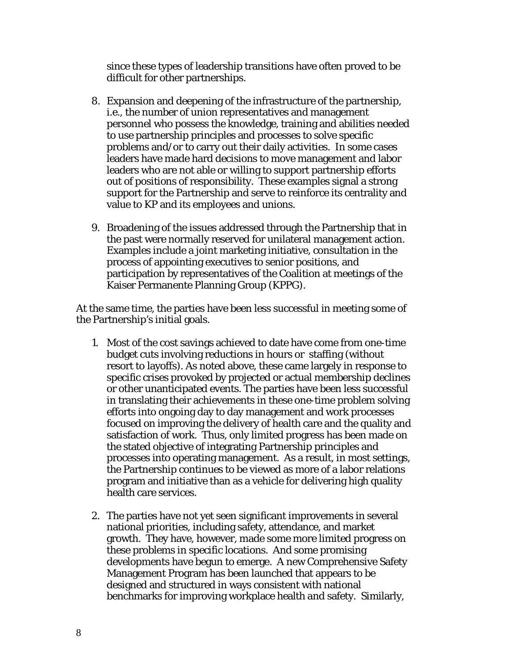since these types of leadership transitions have often proved to be difficult for other partnerships.

- 8. Expansion and deepening of the infrastructure of the partnership, i.e., the number of union representatives and management personnel who possess the knowledge, training and abilities needed to use partnership principles and processes to solve specific problems and/or to carry out their daily activities. In some cases leaders have made hard decisions to move management and labor leaders who are not able or willing to support partnership efforts out of positions of responsibility. These examples signal a strong support for the Partnership and serve to reinforce its centrality and value to KP and its employees and unions.
- 9. Broadening of the issues addressed through the Partnership that in the past were normally reserved for unilateral management action. Examples include a joint marketing initiative, consultation in the process of appointing executives to senior positions, and participation by representatives of the Coalition at meetings of the Kaiser Permanente Planning Group (KPPG).

At the same time, the parties have been less successful in meeting some of the Partnership's initial goals.

- 1. Most of the cost savings achieved to date have come from one-time budget cuts involving reductions in hours or staffing (without resort to layoffs). As noted above, these came largely in response to specific crises provoked by projected or actual membership declines or other unanticipated events. The parties have been less successful in translating their achievements in these one-time problem solving efforts into ongoing day to day management and work processes focused on improving the delivery of health care and the quality and satisfaction of work. Thus, only limited progress has been made on the stated objective of integrating Partnership principles and processes into operating management. As a result, in most settings, the Partnership continues to be viewed as more of a labor relations program and initiative than as a vehicle for delivering high quality health care services.
- 2. The parties have not yet seen significant improvements in several national priorities, including safety, attendance, and market growth. They have, however, made some more limited progress on these problems in specific locations. And some promising developments have begun to emerge. A new Comprehensive Safety Management Program has been launched that appears to be designed and structured in ways consistent with national benchmarks for improving workplace health and safety. Similarly,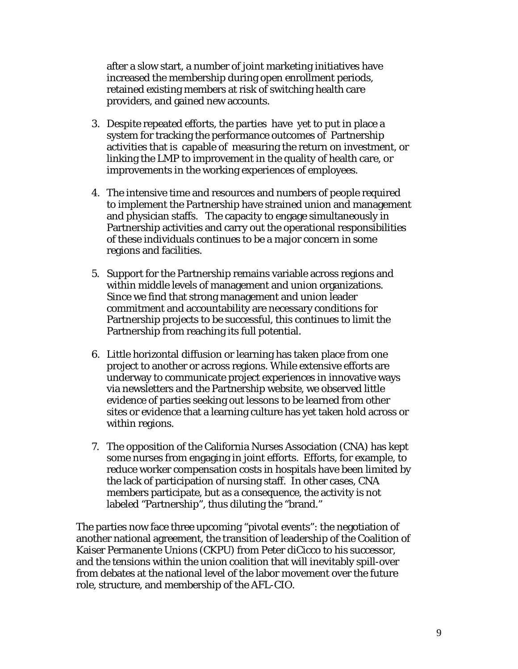after a slow start, a number of joint marketing initiatives have increased the membership during open enrollment periods, retained existing members at risk of switching health care providers, and gained new accounts.

- 3. Despite repeated efforts, the parties have yet to put in place a system for tracking the performance outcomes of Partnership activities that is capable of measuring the return on investment, or linking the LMP to improvement in the quality of health care, or improvements in the working experiences of employees.
- 4. The intensive time and resources and numbers of people required to implement the Partnership have strained union and management and physician staffs. The capacity to engage simultaneously in Partnership activities and carry out the operational responsibilities of these individuals continues to be a major concern in some regions and facilities.
- 5. Support for the Partnership remains variable across regions and within middle levels of management and union organizations. Since we find that strong management and union leader commitment and accountability are necessary conditions for Partnership projects to be successful, this continues to limit the Partnership from reaching its full potential.
- 6. Little horizontal diffusion or learning has taken place from one project to another or across regions. While extensive efforts are underway to communicate project experiences in innovative ways via newsletters and the Partnership website, we observed little evidence of parties seeking out lessons to be learned from other sites or evidence that a learning culture has yet taken hold across or within regions.
- 7. The opposition of the California Nurses Association (CNA) has kept some nurses from engaging in joint efforts. Efforts, for example, to reduce worker compensation costs in hospitals have been limited by the lack of participation of nursing staff. In other cases, CNA members participate, but as a consequence, the activity is not labeled "Partnership", thus diluting the "brand."

The parties now face three upcoming "pivotal events": the negotiation of another national agreement, the transition of leadership of the Coalition of Kaiser Permanente Unions (CKPU) from Peter diCicco to his successor, and the tensions within the union coalition that will inevitably spill-over from debates at the national level of the labor movement over the future role, structure, and membership of the AFL-CIO.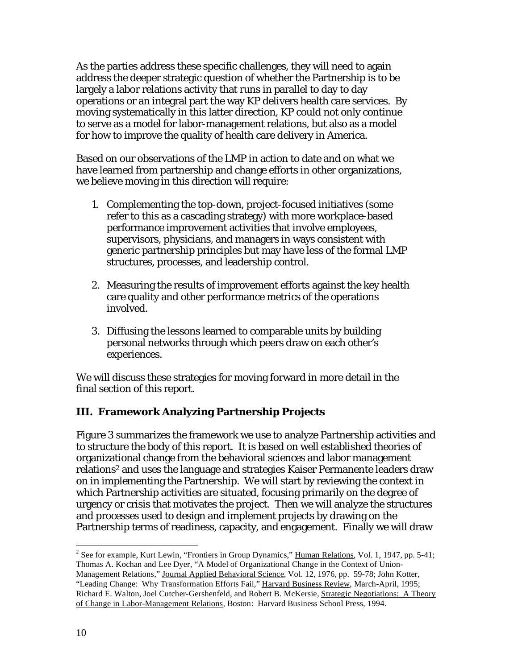As the parties address these specific challenges, they will need to again address the deeper strategic question of whether the Partnership is to be largely a labor relations activity that runs in parallel to day to day operations or an integral part the way KP delivers health care services. By moving systematically in this latter direction, KP could not only continue to serve as a model for labor-management relations, but also as a model for how to improve the quality of health care delivery in America.

Based on our observations of the LMP in action to date and on what we have learned from partnership and change efforts in other organizations, we believe moving in this direction will require:

- 1. Complementing the top-down, project-focused initiatives (some refer to this as a cascading strategy) with more workplace-based performance improvement activities that involve employees, supervisors, physicians, and managers in ways consistent with generic partnership principles but may have less of the formal LMP structures, processes, and leadership control.
- 2. Measuring the results of improvement efforts against the key health care quality and other performance metrics of the operations involved.
- 3. Diffusing the lessons learned to comparable units by building personal networks through which peers draw on each other's experiences.

We will discuss these strategies for moving forward in more detail in the final section of this report.

## **III. Framework Analyzing Partnership Projects**

Figure 3 summarizes the framework we use to analyze Partnership activities and to structure the body of this report. It is based on well established theories of organizational change from the behavioral sciences and labor management relations2 and uses the language and strategies Kaiser Permanente leaders draw on in implementing the Partnership. We will start by reviewing the context in which Partnership activities are situated, focusing primarily on the degree of urgency or crisis that motivates the project. Then we will analyze the structures and processes used to design and implement projects by drawing on the Partnership terms of readiness, capacity, and engagement. Finally we will draw

 $\overline{a}$ <sup>2</sup> See for example, Kurt Lewin, "Frontiers in Group Dynamics," Human Relations, Vol. 1, 1947, pp. 5-41; Thomas A. Kochan and Lee Dyer, "A Model of Organizational Change in the Context of Union-Management Relations," Journal Applied Behavioral Science, Vol. 12, 1976, pp. 59-78; John Kotter, "Leading Change: Why Transformation Efforts Fail," Harvard Business Review, March-April, 1995; Richard E. Walton, Joel Cutcher-Gershenfeld, and Robert B. McKersie, Strategic Negotiations: A Theory of Change in Labor-Management Relations, Boston: Harvard Business School Press, 1994.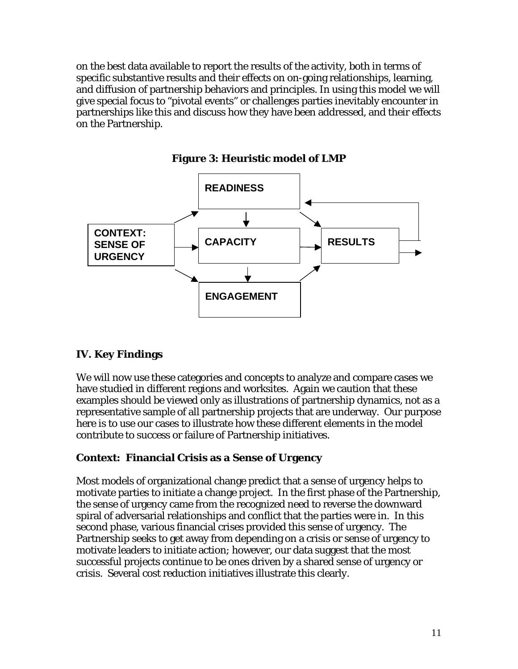on the best data available to report the results of the activity, both in terms of specific substantive results and their effects on on-going relationships, learning, and diffusion of partnership behaviors and principles. In using this model we will give special focus to "pivotal events" or challenges parties inevitably encounter in partnerships like this and discuss how they have been addressed, and their effects on the Partnership.



**Figure 3: Heuristic model of LMP** 

## **IV. Key Findings**

We will now use these categories and concepts to analyze and compare cases we have studied in different regions and worksites. Again we caution that these examples should be viewed only as illustrations of partnership dynamics, not as a representative sample of all partnership projects that are underway. Our purpose here is to use our cases to illustrate how these different elements in the model contribute to success or failure of Partnership initiatives.

## **Context: Financial Crisis as a Sense of Urgency**

Most models of organizational change predict that a sense of urgency helps to motivate parties to initiate a change project. In the first phase of the Partnership, the sense of urgency came from the recognized need to reverse the downward spiral of adversarial relationships and conflict that the parties were in. In this second phase, various financial crises provided this sense of urgency. The Partnership seeks to get away from depending on a crisis or sense of urgency to motivate leaders to initiate action; however, our data suggest that the most successful projects continue to be ones driven by a shared sense of urgency or crisis. Several cost reduction initiatives illustrate this clearly.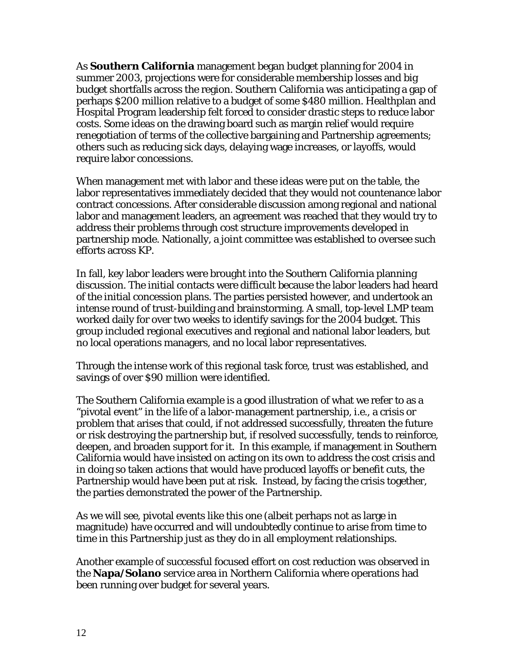As **Southern California** management began budget planning for 2004 in summer 2003, projections were for considerable membership losses and big budget shortfalls across the region. Southern California was anticipating a gap of perhaps \$200 million relative to a budget of some \$480 million. Healthplan and Hospital Program leadership felt forced to consider drastic steps to reduce labor costs. Some ideas on the drawing board such as margin relief would require renegotiation of terms of the collective bargaining and Partnership agreements; others such as reducing sick days, delaying wage increases, or layoffs, would require labor concessions.

When management met with labor and these ideas were put on the table, the labor representatives immediately decided that they would not countenance labor contract concessions. After considerable discussion among regional and national labor and management leaders, an agreement was reached that they would try to address their problems through cost structure improvements developed in partnership mode. Nationally, a joint committee was established to oversee such efforts across KP.

In fall, key labor leaders were brought into the Southern California planning discussion. The initial contacts were difficult because the labor leaders had heard of the initial concession plans. The parties persisted however, and undertook an intense round of trust-building and brainstorming. A small, top-level LMP team worked daily for over two weeks to identify savings for the 2004 budget. This group included regional executives and regional and national labor leaders, but no local operations managers, and no local labor representatives.

Through the intense work of this regional task force, trust was established, and savings of over \$90 million were identified.

The Southern California example is a good illustration of what we refer to as a "pivotal event" in the life of a labor-management partnership, i.e., a crisis or problem that arises that could, if not addressed successfully, threaten the future or risk destroying the partnership but, if resolved successfully, tends to reinforce, deepen, and broaden support for it. In this example, if management in Southern California would have insisted on acting on its own to address the cost crisis and in doing so taken actions that would have produced layoffs or benefit cuts, the Partnership would have been put at risk. Instead, by facing the crisis together, the parties demonstrated the power of the Partnership.

As we will see, pivotal events like this one (albeit perhaps not as large in magnitude) have occurred and will undoubtedly continue to arise from time to time in this Partnership just as they do in all employment relationships.

Another example of successful focused effort on cost reduction was observed in the **Napa/Solano** service area in Northern California where operations had been running over budget for several years.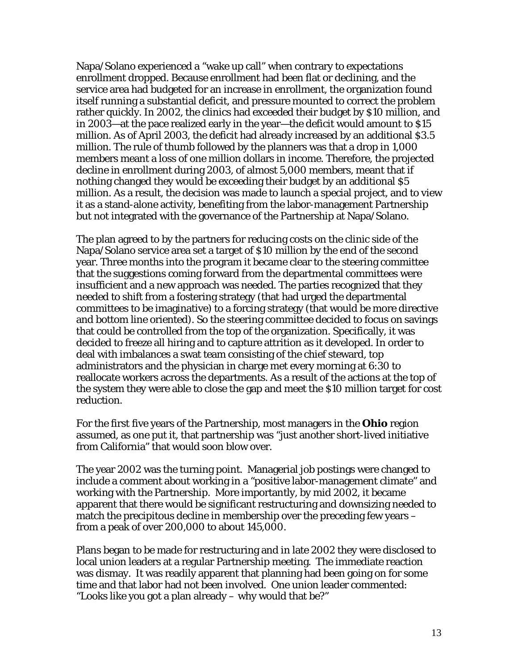Napa/Solano experienced a "wake up call" when contrary to expectations enrollment dropped. Because enrollment had been flat or declining, and the service area had budgeted for an increase in enrollment, the organization found itself running a substantial deficit, and pressure mounted to correct the problem rather quickly. In 2002, the clinics had exceeded their budget by \$10 million, and in 2003—at the pace realized early in the year—the deficit would amount to \$15 million. As of April 2003, the deficit had already increased by an additional \$3.5 million. The rule of thumb followed by the planners was that a drop in 1,000 members meant a loss of one million dollars in income. Therefore, the projected decline in enrollment during 2003, of almost 5,000 members, meant that if nothing changed they would be exceeding their budget by an additional \$5 million. As a result, the decision was made to launch a special project, and to view it as a stand-alone activity, benefiting from the labor-management Partnership but not integrated with the governance of the Partnership at Napa/Solano.

The plan agreed to by the partners for reducing costs on the clinic side of the Napa/Solano service area set a target of \$10 million by the end of the second year. Three months into the program it became clear to the steering committee that the suggestions coming forward from the departmental committees were insufficient and a new approach was needed. The parties recognized that they needed to shift from a fostering strategy (that had urged the departmental committees to be imaginative) to a forcing strategy (that would be more directive and bottom line oriented). So the steering committee decided to focus on savings that could be controlled from the top of the organization. Specifically, it was decided to freeze all hiring and to capture attrition as it developed. In order to deal with imbalances a swat team consisting of the chief steward, top administrators and the physician in charge met every morning at 6:30 to reallocate workers across the departments. As a result of the actions at the top of the system they were able to close the gap and meet the \$10 million target for cost reduction.

For the first five years of the Partnership, most managers in the **Ohio** region assumed, as one put it, that partnership was "just another short-lived initiative from California" that would soon blow over.

The year 2002 was the turning point. Managerial job postings were changed to include a comment about working in a "positive labor-management climate" and working with the Partnership. More importantly, by mid 2002, it became apparent that there would be significant restructuring and downsizing needed to match the precipitous decline in membership over the preceding few years – from a peak of over 200,000 to about 145,000.

Plans began to be made for restructuring and in late 2002 they were disclosed to local union leaders at a regular Partnership meeting. The immediate reaction was dismay. It was readily apparent that planning had been going on for some time and that labor had not been involved. One union leader commented: "Looks like you got a plan already – why would that be?"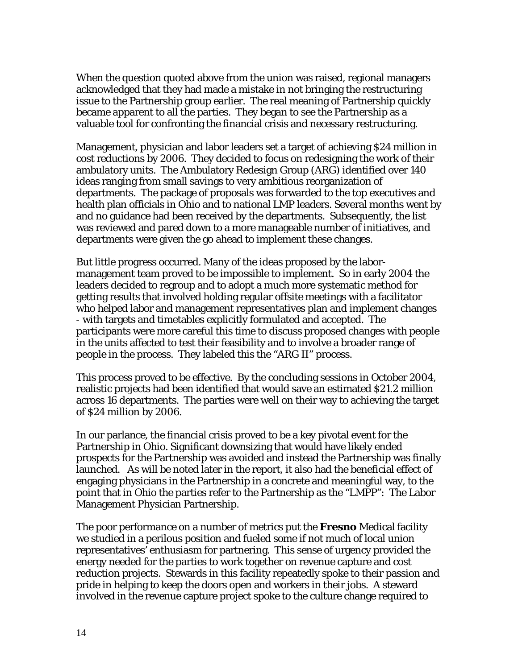When the question quoted above from the union was raised, regional managers acknowledged that they had made a mistake in not bringing the restructuring issue to the Partnership group earlier. The real meaning of Partnership quickly became apparent to all the parties. They began to see the Partnership as a valuable tool for confronting the financial crisis and necessary restructuring.

Management, physician and labor leaders set a target of achieving \$24 million in cost reductions by 2006. They decided to focus on redesigning the work of their ambulatory units. The Ambulatory Redesign Group (ARG) identified over 140 ideas ranging from small savings to very ambitious reorganization of departments. The package of proposals was forwarded to the top executives and health plan officials in Ohio and to national LMP leaders. Several months went by and no guidance had been received by the departments. Subsequently, the list was reviewed and pared down to a more manageable number of initiatives, and departments were given the go ahead to implement these changes.

But little progress occurred. Many of the ideas proposed by the labormanagement team proved to be impossible to implement. So in early 2004 the leaders decided to regroup and to adopt a much more systematic method for getting results that involved holding regular offsite meetings with a facilitator who helped labor and management representatives plan and implement changes - with targets and timetables explicitly formulated and accepted. The participants were more careful this time to discuss proposed changes with people in the units affected to test their feasibility and to involve a broader range of people in the process. They labeled this the "ARG II" process.

This process proved to be effective. By the concluding sessions in October 2004, realistic projects had been identified that would save an estimated \$21.2 million across 16 departments. The parties were well on their way to achieving the target of \$24 million by 2006.

In our parlance, the financial crisis proved to be a key pivotal event for the Partnership in Ohio. Significant downsizing that would have likely ended prospects for the Partnership was avoided and instead the Partnership was finally launched. As will be noted later in the report, it also had the beneficial effect of engaging physicians in the Partnership in a concrete and meaningful way, to the point that in Ohio the parties refer to the Partnership as the "LMPP": The Labor Management Physician Partnership.

The poor performance on a number of metrics put the **Fresno** Medical facility we studied in a perilous position and fueled some if not much of local union representatives' enthusiasm for partnering. This sense of urgency provided the energy needed for the parties to work together on revenue capture and cost reduction projects. Stewards in this facility repeatedly spoke to their passion and pride in helping to keep the doors open and workers in their jobs. A steward involved in the revenue capture project spoke to the culture change required to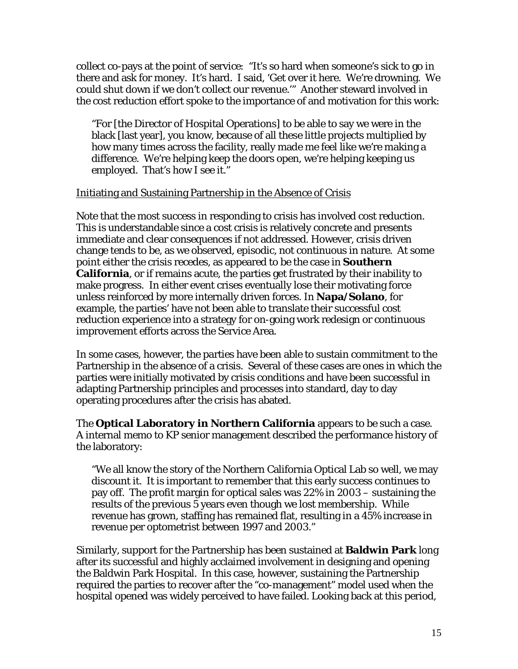collect co-pays at the point of service: "It's so hard when someone's sick to go in there and ask for money. It's hard. I said, 'Get over it here. We're drowning. We could shut down if we don't collect our revenue.'" Another steward involved in the cost reduction effort spoke to the importance of and motivation for this work:

"For [the Director of Hospital Operations] to be able to say we were in the black [last year], you know, because of all these little projects multiplied by how many times across the facility, really made me feel like we're making a difference. We're helping keep the doors open, we're helping keeping us employed. That's how I see it."

#### Initiating and Sustaining Partnership in the Absence of Crisis

Note that the most success in responding to crisis has involved cost reduction. This is understandable since a cost crisis is relatively concrete and presents immediate and clear consequences if not addressed. However, crisis driven change tends to be, as we observed, episodic, not continuous in nature. At some point either the crisis recedes, as appeared to be the case in **Southern California**, or if remains acute, the parties get frustrated by their inability to make progress. In either event crises eventually lose their motivating force unless reinforced by more internally driven forces. In **Napa/Solano**, for example, the parties' have not been able to translate their successful cost reduction experience into a strategy for on-going work redesign or continuous improvement efforts across the Service Area.

In some cases, however, the parties have been able to sustain commitment to the Partnership in the absence of a crisis. Several of these cases are ones in which the parties were initially motivated by crisis conditions and have been successful in adapting Partnership principles and processes into standard, day to day operating procedures after the crisis has abated.

The **Optical Laboratory in Northern California** appears to be such a case. A internal memo to KP senior management described the performance history of the laboratory:

"We all know the story of the Northern California Optical Lab so well, we may discount it. It is important to remember that this early success continues to pay off. The profit margin for optical sales was 22% in 2003 – sustaining the results of the previous 5 years even though we lost membership. While revenue has grown, staffing has remained flat, resulting in a 45% increase in revenue per optometrist between 1997 and 2003."

Similarly, support for the Partnership has been sustained at **Baldwin Park** long after its successful and highly acclaimed involvement in designing and opening the Baldwin Park Hospital. In this case, however, sustaining the Partnership required the parties to recover after the "co-management" model used when the hospital opened was widely perceived to have failed. Looking back at this period,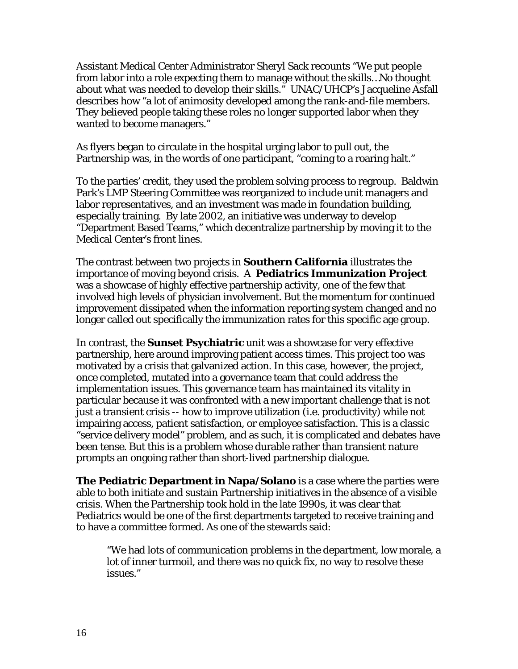Assistant Medical Center Administrator Sheryl Sack recounts "We put people from labor into a role expecting them to manage without the skills…No thought about what was needed to develop their skills." UNAC/UHCP's Jacqueline Asfall describes how "a lot of animosity developed among the rank-and-file members. They believed people taking these roles no longer supported labor when they wanted to become managers."

As flyers began to circulate in the hospital urging labor to pull out, the Partnership was, in the words of one participant, "coming to a roaring halt."

To the parties' credit, they used the problem solving process to regroup. Baldwin Park's LMP Steering Committee was reorganized to include unit managers and labor representatives, and an investment was made in foundation building, especially training. By late 2002, an initiative was underway to develop "Department Based Teams," which decentralize partnership by moving it to the Medical Center's front lines.

The contrast between two projects in **Southern California** illustrates the importance of moving beyond crisis. A **Pediatrics Immunization Project** was a showcase of highly effective partnership activity, one of the few that involved high levels of physician involvement. But the momentum for continued improvement dissipated when the information reporting system changed and no longer called out specifically the immunization rates for this specific age group.

In contrast, the **Sunset Psychiatric** unit was a showcase for very effective partnership, here around improving patient access times. This project too was motivated by a crisis that galvanized action. In this case, however, the project, once completed, mutated into a governance team that could address the implementation issues. This governance team has maintained its vitality in particular because it was confronted with a new important challenge that is not just a transient crisis -- how to improve utilization (i.e. productivity) while not impairing access, patient satisfaction, or employee satisfaction. This is a classic "service delivery model" problem, and as such, it is complicated and debates have been tense. But this is a problem whose durable rather than transient nature prompts an ongoing rather than short-lived partnership dialogue.

**The Pediatric Department in Napa/Solano** is a case where the parties were able to both initiate and sustain Partnership initiatives in the absence of a visible crisis. When the Partnership took hold in the late 1990s, it was clear that Pediatrics would be one of the first departments targeted to receive training and to have a committee formed. As one of the stewards said:

"We had lots of communication problems in the department, low morale, a lot of inner turmoil, and there was no quick fix, no way to resolve these issues."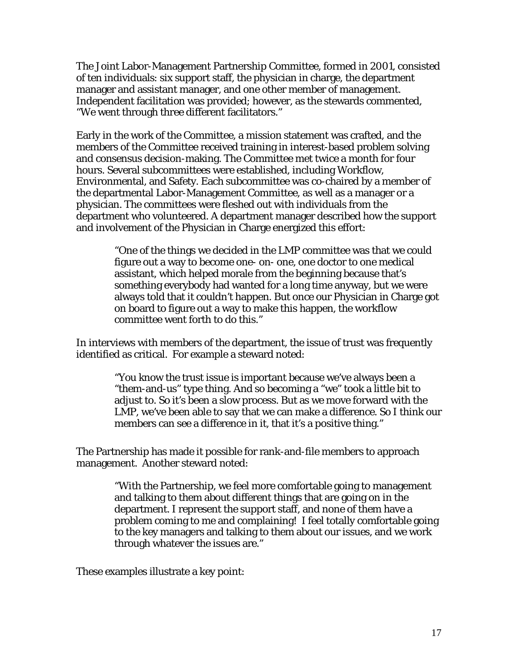The Joint Labor-Management Partnership Committee, formed in 2001, consisted of ten individuals: six support staff, the physician in charge, the department manager and assistant manager, and one other member of management. Independent facilitation was provided; however, as the stewards commented, "We went through three different facilitators."

Early in the work of the Committee, a mission statement was crafted, and the members of the Committee received training in interest-based problem solving and consensus decision-making. The Committee met twice a month for four hours. Several subcommittees were established, including Workflow, Environmental, and Safety. Each subcommittee was co-chaired by a member of the departmental Labor-Management Committee, as well as a manager or a physician. The committees were fleshed out with individuals from the department who volunteered. A department manager described how the support and involvement of the Physician in Charge energized this effort:

> "One of the things we decided in the LMP committee was that we could figure out a way to become one- on- one, one doctor to one medical assistant, which helped morale from the beginning because that's something everybody had wanted for a long time anyway, but we were always told that it couldn't happen. But once our Physician in Charge got on board to figure out a way to make this happen, the workflow committee went forth to do this."

In interviews with members of the department, the issue of trust was frequently identified as critical. For example a steward noted:

> "You know the trust issue is important because we've always been a "them-and-us" type thing. And so becoming a "we" took a little bit to adjust to. So it's been a slow process. But as we move forward with the LMP, we've been able to say that we can make a difference. So I think our members can see a difference in it, that it's a positive thing."

The Partnership has made it possible for rank-and-file members to approach management. Another steward noted:

> "With the Partnership, we feel more comfortable going to management and talking to them about different things that are going on in the department. I represent the support staff, and none of them have a problem coming to me and complaining! I feel totally comfortable going to the key managers and talking to them about our issues, and we work through whatever the issues are."

These examples illustrate a key point: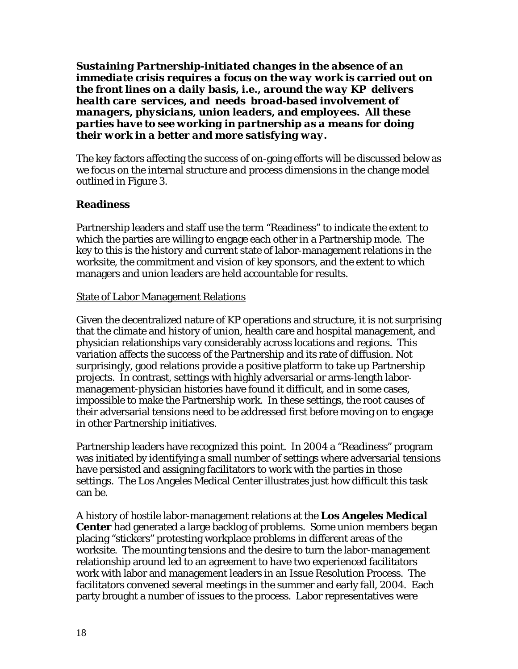*Sustaining Partnership-initiated changes in the absence of an immediate crisis requires a focus on the way work is carried out on the front lines on a daily basis, i.e., around the way KP delivers health care services, and needs broad-based involvement of managers, physicians, union leaders, and employees. All these parties have to see working in partnership as a means for doing their work in a better and more satisfying way.* 

The key factors affecting the success of on-going efforts will be discussed below as we focus on the internal structure and process dimensions in the change model outlined in Figure 3.

## **Readiness**

Partnership leaders and staff use the term "Readiness" to indicate the extent to which the parties are willing to engage each other in a Partnership mode. The key to this is the history and current state of labor-management relations in the worksite, the commitment and vision of key sponsors, and the extent to which managers and union leaders are held accountable for results.

#### **State of Labor Management Relations**

Given the decentralized nature of KP operations and structure, it is not surprising that the climate and history of union, health care and hospital management, and physician relationships vary considerably across locations and regions. This variation affects the success of the Partnership and its rate of diffusion. Not surprisingly, good relations provide a positive platform to take up Partnership projects. In contrast, settings with highly adversarial or arms-length labormanagement-physician histories have found it difficult, and in some cases, impossible to make the Partnership work. In these settings, the root causes of their adversarial tensions need to be addressed first before moving on to engage in other Partnership initiatives.

Partnership leaders have recognized this point. In 2004 a "Readiness" program was initiated by identifying a small number of settings where adversarial tensions have persisted and assigning facilitators to work with the parties in those settings. The Los Angeles Medical Center illustrates just how difficult this task can be.

A history of hostile labor-management relations at the **Los Angeles Medical Center** had generated a large backlog of problems. Some union members began placing "stickers" protesting workplace problems in different areas of the worksite. The mounting tensions and the desire to turn the labor-management relationship around led to an agreement to have two experienced facilitators work with labor and management leaders in an Issue Resolution Process. The facilitators convened several meetings in the summer and early fall, 2004. Each party brought a number of issues to the process. Labor representatives were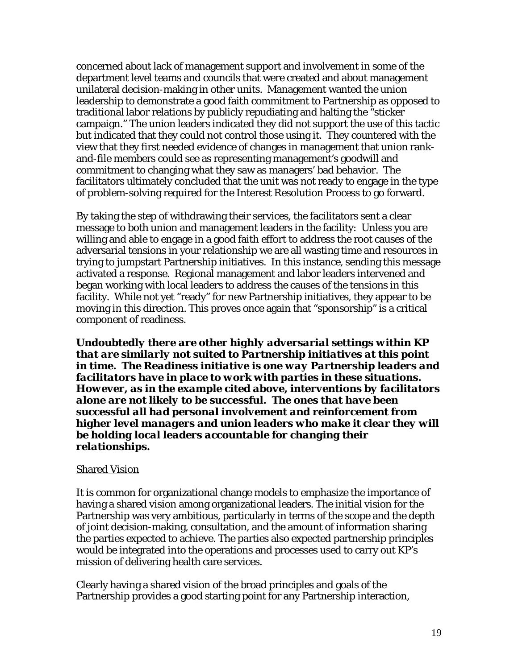concerned about lack of management support and involvement in some of the department level teams and councils that were created and about management unilateral decision-making in other units. Management wanted the union leadership to demonstrate a good faith commitment to Partnership as opposed to traditional labor relations by publicly repudiating and halting the "sticker campaign." The union leaders indicated they did not support the use of this tactic but indicated that they could not control those using it. They countered with the view that they first needed evidence of changes in management that union rankand-file members could see as representing management's goodwill and commitment to changing what they saw as managers' bad behavior. The facilitators ultimately concluded that the unit was not ready to engage in the type of problem-solving required for the Interest Resolution Process to go forward.

By taking the step of withdrawing their services, the facilitators sent a clear message to both union and management leaders in the facility: Unless you are willing and able to engage in a good faith effort to address the root causes of the adversarial tensions in your relationship we are all wasting time and resources in trying to jumpstart Partnership initiatives. In this instance, sending this message activated a response. Regional management and labor leaders intervened and began working with local leaders to address the causes of the tensions in this facility. While not yet "ready" for new Partnership initiatives, they appear to be moving in this direction. This proves once again that "sponsorship" is a critical component of readiness.

*Undoubtedly there are other highly adversarial settings within KP that are similarly not suited to Partnership initiatives at this point in time. The Readiness initiative is one way Partnership leaders and facilitators have in place to work with parties in these situations. However, as in the example cited above, interventions by facilitators alone are not likely to be successful. The ones that have been successful all had personal involvement and reinforcement from higher level managers and union leaders who make it clear they will be holding local leaders accountable for changing their relationships.*

#### **Shared Vision**

It is common for organizational change models to emphasize the importance of having a shared vision among organizational leaders. The initial vision for the Partnership was very ambitious, particularly in terms of the scope and the depth of joint decision-making, consultation, and the amount of information sharing the parties expected to achieve. The parties also expected partnership principles would be integrated into the operations and processes used to carry out KP's mission of delivering health care services.

Clearly having a shared vision of the broad principles and goals of the Partnership provides a good starting point for any Partnership interaction,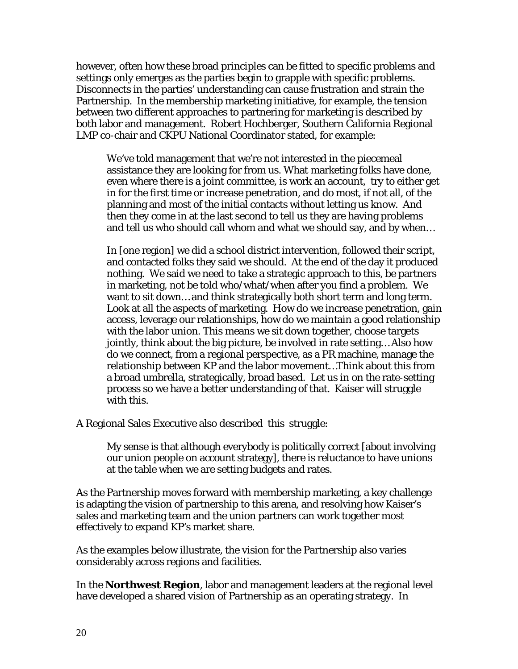however, often how these broad principles can be fitted to specific problems and settings only emerges as the parties begin to grapple with specific problems. Disconnects in the parties' understanding can cause frustration and strain the Partnership. In the membership marketing initiative, for example, the tension between two different approaches to partnering for marketing is described by both labor and management. Robert Hochberger, Southern California Regional LMP co-chair and CKPU National Coordinator stated, for example:

We've told management that we're not interested in the piecemeal assistance they are looking for from us. What marketing folks have done, even where there is a joint committee, is work an account, try to either get in for the first time or increase penetration, and do most, if not all, of the planning and most of the initial contacts without letting us know. And then they come in at the last second to tell us they are having problems and tell us who should call whom and what we should say, and by when…

In [one region] we did a school district intervention, followed their script, and contacted folks they said we should. At the end of the day it produced nothing. We said we need to take a strategic approach to this, be partners in marketing, not be told who/what/when after you find a problem. We want to sit down… and think strategically both short term and long term. Look at all the aspects of marketing. How do we increase penetration, gain access, leverage our relationships, how do we maintain a good relationship with the labor union. This means we sit down together, choose targets jointly, think about the big picture, be involved in rate setting… Also how do we connect, from a regional perspective, as a PR machine, manage the relationship between KP and the labor movement…Think about this from a broad umbrella, strategically, broad based. Let us in on the rate-setting process so we have a better understanding of that. Kaiser will struggle with this.

A Regional Sales Executive also described this struggle:

My sense is that although everybody is politically correct [about involving our union people on account strategy], there is reluctance to have unions at the table when we are setting budgets and rates.

As the Partnership moves forward with membership marketing, a key challenge is adapting the vision of partnership to this arena, and resolving how Kaiser's sales and marketing team and the union partners can work together most effectively to expand KP's market share.

As the examples below illustrate, the vision for the Partnership also varies considerably across regions and facilities.

In the **Northwest Region**, labor and management leaders at the regional level have developed a shared vision of Partnership as an operating strategy. In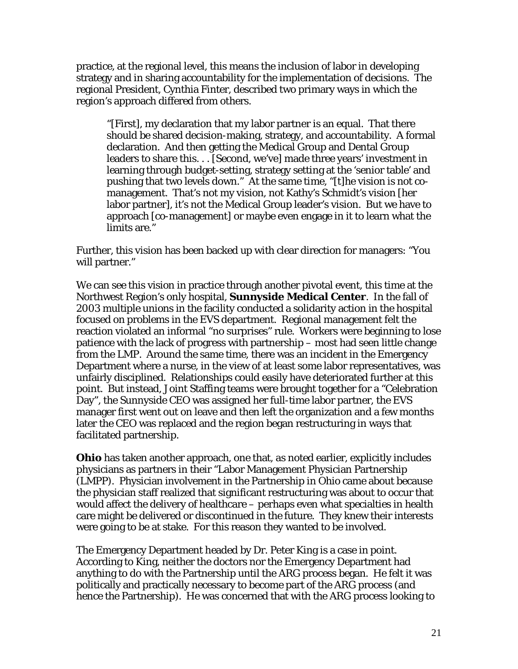practice, at the regional level, this means the inclusion of labor in developing strategy and in sharing accountability for the implementation of decisions.The regional President, Cynthia Finter, described two primary ways in which the region's approach differed from others.

"[First], my declaration that my labor partner is an equal. That there should be shared decision-making, strategy, and accountability. A formal declaration. And then getting the Medical Group and Dental Group leaders to share this. . . [Second, we've] made three years' investment in learning through budget-setting, strategy setting at the 'senior table' and pushing that two levels down." At the same time, "[t]he vision is not comanagement. That's not my vision, not Kathy's Schmidt's vision [her labor partner], it's not the Medical Group leader's vision. But we have to approach [co-management] or maybe even engage in it to learn what the limits are."

Further, this vision has been backed up with clear direction for managers: "You will partner."

We can see this vision in practice through another pivotal event, this time at the Northwest Region's only hospital, **Sunnyside Medical Center**. In the fall of 2003 multiple unions in the facility conducted a solidarity action in the hospital focused on problems in the EVS department. Regional management felt the reaction violated an informal "no surprises" rule. Workers were beginning to lose patience with the lack of progress with partnership – most had seen little change from the LMP. Around the same time, there was an incident in the Emergency Department where a nurse, in the view of at least some labor representatives, was unfairly disciplined. Relationships could easily have deteriorated further at this point. But instead, Joint Staffing teams were brought together for a "Celebration Day", the Sunnyside CEO was assigned her full-time labor partner, the EVS manager first went out on leave and then left the organization and a few months later the CEO was replaced and the region began restructuring in ways that facilitated partnership.

**Ohio** has taken another approach, one that, as noted earlier, explicitly includes physicians as partners in their "Labor Management Physician Partnership (LMPP). Physician involvement in the Partnership in Ohio came about because the physician staff realized that significant restructuring was about to occur that would affect the delivery of healthcare – perhaps even what specialties in health care might be delivered or discontinued in the future. They knew their interests were going to be at stake. For this reason they wanted to be involved.

The Emergency Department headed by Dr. Peter King is a case in point. According to King, neither the doctors nor the Emergency Department had anything to do with the Partnership until the ARG process began. He felt it was politically and practically necessary to become part of the ARG process (and hence the Partnership). He was concerned that with the ARG process looking to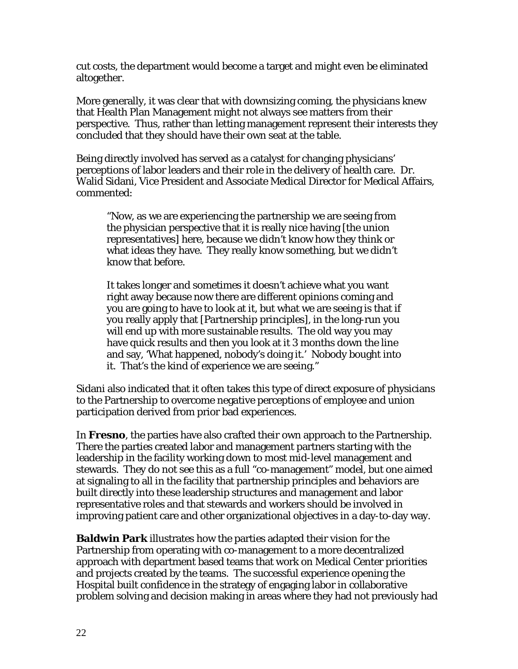cut costs, the department would become a target and might even be eliminated altogether.

More generally, it was clear that with downsizing coming, the physicians knew that Health Plan Management might not always see matters from their perspective. Thus, rather than letting management represent their interests they concluded that they should have their own seat at the table.

Being directly involved has served as a catalyst for changing physicians' perceptions of labor leaders and their role in the delivery of health care. Dr. Walid Sidani, Vice President and Associate Medical Director for Medical Affairs, commented:

"Now, as we are experiencing the partnership we are seeing from the physician perspective that it is really nice having [the union representatives] here, because we didn't know how they think or what ideas they have. They really know something, but we didn't know that before.

It takes longer and sometimes it doesn't achieve what you want right away because now there are different opinions coming and you are going to have to look at it, but what we are seeing is that if you really apply that [Partnership principles], in the long-run you will end up with more sustainable results. The old way you may have quick results and then you look at it 3 months down the line and say, 'What happened, nobody's doing it.' Nobody bought into it. That's the kind of experience we are seeing."

Sidani also indicated that it often takes this type of direct exposure of physicians to the Partnership to overcome negative perceptions of employee and union participation derived from prior bad experiences.

In **Fresno**, the parties have also crafted their own approach to the Partnership. There the parties created labor and management partners starting with the leadership in the facility working down to most mid-level management and stewards. They do not see this as a full "co-management" model, but one aimed at signaling to all in the facility that partnership principles and behaviors are built directly into these leadership structures and management and labor representative roles and that stewards and workers should be involved in improving patient care and other organizational objectives in a day-to-day way.

**Baldwin Park** illustrates how the parties adapted their vision for the Partnership from operating with co-management to a more decentralized approach with department based teams that work on Medical Center priorities and projects created by the teams. The successful experience opening the Hospital built confidence in the strategy of engaging labor in collaborative problem solving and decision making in areas where they had not previously had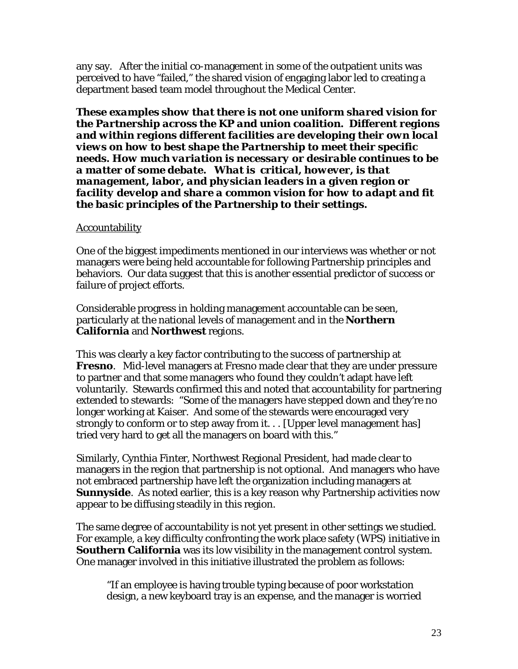any say. After the initial co-management in some of the outpatient units was perceived to have "failed," the shared vision of engaging labor led to creating a department based team model throughout the Medical Center.

*These examples show that there is not one uniform shared vision for the Partnership across the KP and union coalition. Different regions and within regions different facilities are developing their own local views on how to best shape the Partnership to meet their specific needs. How much variation is necessary or desirable continues to be a matter of some debate. What is critical, however, is that management, labor, and physician leaders in a given region or facility develop and share a common vision for how to adapt and fit the basic principles of the Partnership to their settings.* 

#### Accountability

One of the biggest impediments mentioned in our interviews was whether or not managers were being held accountable for following Partnership principles and behaviors. Our data suggest that this is another essential predictor of success or failure of project efforts.

Considerable progress in holding management accountable can be seen, particularly at the national levels of management and in the **Northern California** and **Northwest** regions.

This was clearly a key factor contributing to the success of partnership at **Fresno**. Mid-level managers at Fresno made clear that they are under pressure to partner and that some managers who found they couldn't adapt have left voluntarily. Stewards confirmed this and noted that accountability for partnering extended to stewards: "Some of the managers have stepped down and they're no longer working at Kaiser. And some of the stewards were encouraged very strongly to conform or to step away from it. . . [Upper level management has] tried very hard to get all the managers on board with this."

Similarly, Cynthia Finter, Northwest Regional President, had made clear to managers in the region that partnership is not optional. And managers who have not embraced partnership have left the organization including managers at **Sunnyside**. As noted earlier, this is a key reason why Partnership activities now appear to be diffusing steadily in this region.

The same degree of accountability is not yet present in other settings we studied. For example, a key difficulty confronting the work place safety (WPS) initiative in **Southern California** was its low visibility in the management control system. One manager involved in this initiative illustrated the problem as follows:

"If an employee is having trouble typing because of poor workstation design, a new keyboard tray is an expense, and the manager is worried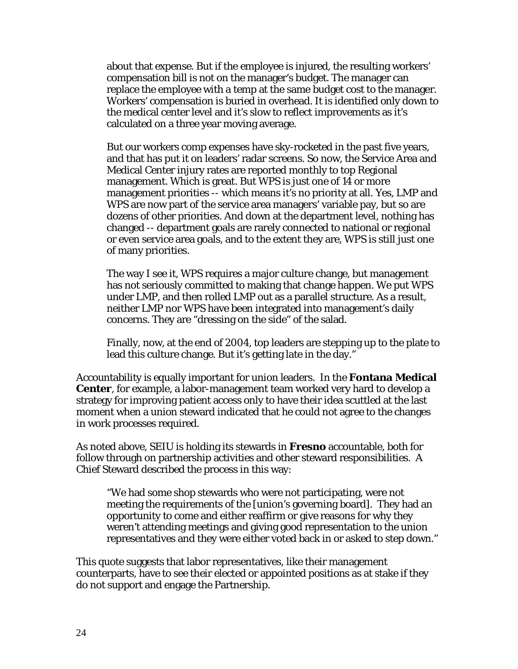about that expense. But if the employee is injured, the resulting workers' compensation bill is not on the manager's budget. The manager can replace the employee with a temp at the same budget cost to the manager. Workers' compensation is buried in overhead. It is identified only down to the medical center level and it's slow to reflect improvements as it's calculated on a three year moving average.

But our workers comp expenses have sky-rocketed in the past five years, and that has put it on leaders' radar screens. So now, the Service Area and Medical Center injury rates are reported monthly to top Regional management. Which is great. But WPS is just one of 14 or more management priorities -- which means it's no priority at all. Yes, LMP and WPS are now part of the service area managers' variable pay, but so are dozens of other priorities. And down at the department level, nothing has changed -- department goals are rarely connected to national or regional or even service area goals, and to the extent they are, WPS is still just one of many priorities.

The way I see it, WPS requires a major culture change, but management has not seriously committed to making that change happen. We put WPS under LMP, and then rolled LMP out as a parallel structure. As a result, neither LMP nor WPS have been integrated into management's daily concerns. They are "dressing on the side" of the salad.

Finally, now, at the end of 2004, top leaders are stepping up to the plate to lead this culture change. But it's getting late in the day."

Accountability is equally important for union leaders. In the **Fontana Medical Center**, for example, a labor-management team worked very hard to develop a strategy for improving patient access only to have their idea scuttled at the last moment when a union steward indicated that he could not agree to the changes in work processes required.

As noted above, SEIU is holding its stewards in **Fresno** accountable, both for follow through on partnership activities and other steward responsibilities. A Chief Steward described the process in this way:

"We had some shop stewards who were not participating, were not meeting the requirements of the [union's governing board]. They had an opportunity to come and either reaffirm or give reasons for why they weren't attending meetings and giving good representation to the union representatives and they were either voted back in or asked to step down."

This quote suggests that labor representatives, like their management counterparts, have to see their elected or appointed positions as at stake if they do not support and engage the Partnership.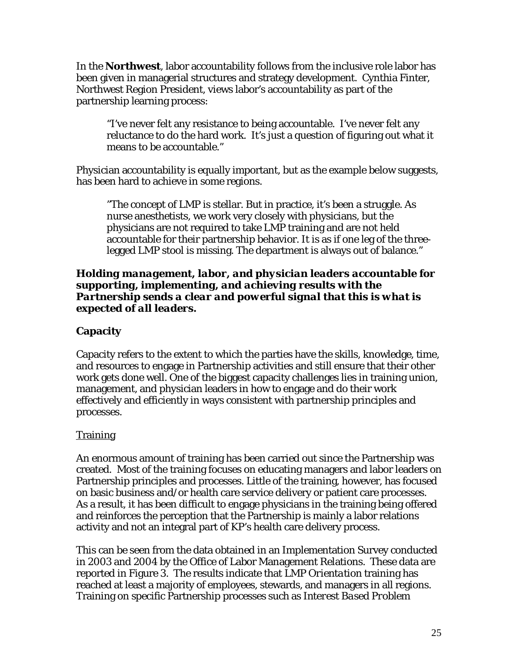In the **Northwest**, labor accountability follows from the inclusive role labor has been given in managerial structures and strategy development. Cynthia Finter, Northwest Region President, views labor's accountability as part of the partnership learning process:

"I've never felt any resistance to being accountable. I've never felt any reluctance to do the hard work. It's just a question of figuring out what it means to be accountable."

Physician accountability is equally important, but as the example below suggests, has been hard to achieve in some regions.

"The concept of LMP is stellar. But in practice, it's been a struggle. As nurse anesthetists, we work very closely with physicians, but the physicians are not required to take LMP training and are not held accountable for their partnership behavior. It is as if one leg of the threelegged LMP stool is missing. The department is always out of balance."

#### *Holding management, labor, and physician leaders accountable for supporting, implementing, and achieving results with the Partnership sends a clear and powerful signal that this is what is expected of all leaders.*

## **Capacity**

Capacity refers to the extent to which the parties have the skills, knowledge, time, and resources to engage in Partnership activities and still ensure that their other work gets done well. One of the biggest capacity challenges lies in training union, management, and physician leaders in how to engage and do their work effectively and efficiently in ways consistent with partnership principles and processes.

## Training

An enormous amount of training has been carried out since the Partnership was created. Most of the training focuses on educating managers and labor leaders on Partnership principles and processes. Little of the training, however, has focused on basic business and/or health care service delivery or patient care processes. As a result, it has been difficult to engage physicians in the training being offered and reinforces the perception that the Partnership is mainly a labor relations activity and not an integral part of KP's health care delivery process.

This can be seen from the data obtained in an Implementation Survey conducted in 2003 and 2004 by the Office of Labor Management Relations. These data are reported in Figure 3. The results indicate that *LMP Orientation* training has reached at least a majority of employees, stewards, and managers in all regions. Training on specific Partnership processes such as *Interest Based Problem*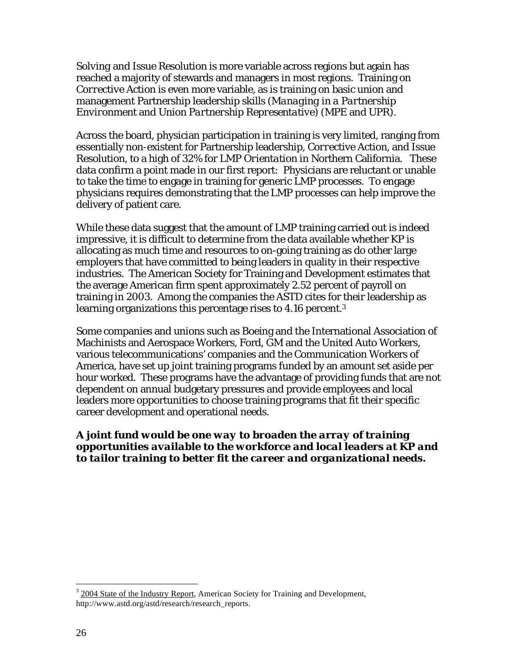*Solving* and *Issue Resolution* is more variable across regions but again has reached a majority of stewards and managers in most regions. Training on *Corrective Action* is even more variable, as is training on basic union and management Partnership leadership skills (*Managing in a Partnership Environment* and *Union Partnership Representative*) (MPE and UPR).

Across the board, physician participation in training is very limited, ranging from essentially non-existent for Partnership leadership, *Corrective Action*, and *Issue Resolution*, to a high of 32% for *LMP Orientation* in Northern California. These data confirm a point made in our first report: Physicians are reluctant or unable to take the time to engage in training for generic LMP processes. To engage physicians requires demonstrating that the LMP processes can help improve the delivery of patient care.

While these data suggest that the amount of LMP training carried out is indeed impressive, it is difficult to determine from the data available whether KP is allocating as much time and resources to on-going training as do other large employers that have committed to being leaders in quality in their respective industries. The American Society for Training and Development estimates that the average American firm spent approximately 2.52 percent of payroll on training in 2003. Among the companies the ASTD cites for their leadership as learning organizations this percentage rises to 4.16 percent.<sup>3</sup>

Some companies and unions such as Boeing and the International Association of Machinists and Aerospace Workers, Ford, GM and the United Auto Workers, various telecommunications' companies and the Communication Workers of America, have set up joint training programs funded by an amount set aside per hour worked. These programs have the advantage of providing funds that are not dependent on annual budgetary pressures and provide employees and local leaders more opportunities to choose training programs that fit their specific career development and operational needs.

#### *A joint fund would be one way to broaden the array of training opportunities available to the workforce and local leaders at KP and to tailor training to better fit the career and organizational needs.*

<sup>&</sup>lt;sup>3</sup> 2004 State of the Industry Report, American Society for Training and Development, http://www.astd.org/astd/research/research\_reports.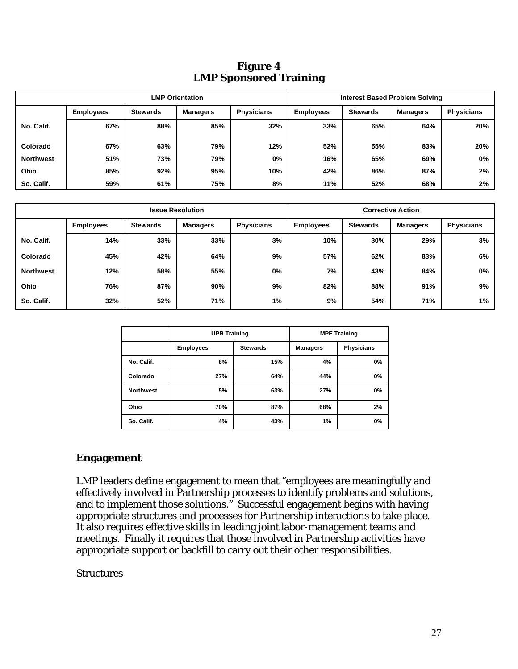| Figure 4                      |  |  |
|-------------------------------|--|--|
| <b>LMP Sponsored Training</b> |  |  |

| <b>LMP Orientation</b> |                  |                 |                 | <b>Interest Based Problem Solving</b> |                  |                 |          |                   |
|------------------------|------------------|-----------------|-----------------|---------------------------------------|------------------|-----------------|----------|-------------------|
|                        | <b>Employees</b> | <b>Stewards</b> | <b>Managers</b> | <b>Physicians</b>                     | <b>Employees</b> | <b>Stewards</b> | Managers | <b>Physicians</b> |
| No. Calif.             | 67%              | 88%             | 85%             | 32%                                   | 33%              | 65%             | 64%      | 20%               |
| Colorado               | 67%              | 63%             | 79%             | 12%                                   | 52%              | 55%             | 83%      | 20%               |
| <b>Northwest</b>       | 51%              | 73%             | 79%             | 0%                                    | 16%              | 65%             | 69%      | $0\%$             |
| Ohio                   | 85%              | 92%             | 95%             | 10%                                   | 42%              | 86%             | 87%      | 2%                |
| So. Calif.             | 59%              | 61%             | 75%             | 8%                                    | 11%              | 52%             | 68%      | 2%                |

| <b>Issue Resolution</b> |                  |                 | <b>Corrective Action</b> |                   |                  |                 |          |                   |
|-------------------------|------------------|-----------------|--------------------------|-------------------|------------------|-----------------|----------|-------------------|
|                         | <b>Employees</b> | <b>Stewards</b> | <b>Managers</b>          | <b>Physicians</b> | <b>Employees</b> | <b>Stewards</b> | Managers | <b>Physicians</b> |
| No. Calif.              | 14%              | 33%             | 33%                      | 3%                | 10%              | 30%             | 29%      | 3%                |
| Colorado                | 45%              | 42%             | 64%                      | 9%                | 57%              | 62%             | 83%      | 6%                |
| <b>Northwest</b>        | 12%              | 58%             | 55%                      | 0%                | 7%               | 43%             | 84%      | 0%                |
| Ohio                    | 76%              | 87%             | 90%                      | 9%                | 82%              | 88%             | 91%      | 9%                |
| So. Calif.              | 32%              | 52%             | 71%                      | 1%                | 9%               | 54%             | 71%      | 1%                |

|                  | <b>UPR Training</b> |                 | <b>MPE Training</b> |                   |  |
|------------------|---------------------|-----------------|---------------------|-------------------|--|
|                  | <b>Employees</b>    | <b>Stewards</b> | <b>Managers</b>     | <b>Physicians</b> |  |
| No. Calif.       | 8%                  | 15%             | 4%                  | 0%                |  |
| Colorado         | 27%                 | 64%             | 44%                 | 0%                |  |
| <b>Northwest</b> | 5%                  | 63%             | 27%                 | 0%                |  |
| Ohio             | 70%                 | 87%             | 68%                 | 2%                |  |
| So. Calif.       | 4%                  | 43%             | 1%                  | 0%                |  |

## **Engagement**

LMP leaders define engagement to mean that "employees are meaningfully and effectively involved in Partnership processes to identify problems and solutions, and to implement those solutions." Successful engagement begins with having appropriate structures and processes for Partnership interactions to take place. It also requires effective skills in leading joint labor-management teams and meetings. Finally it requires that those involved in Partnership activities have appropriate support or backfill to carry out their other responsibilities.

#### **Structures**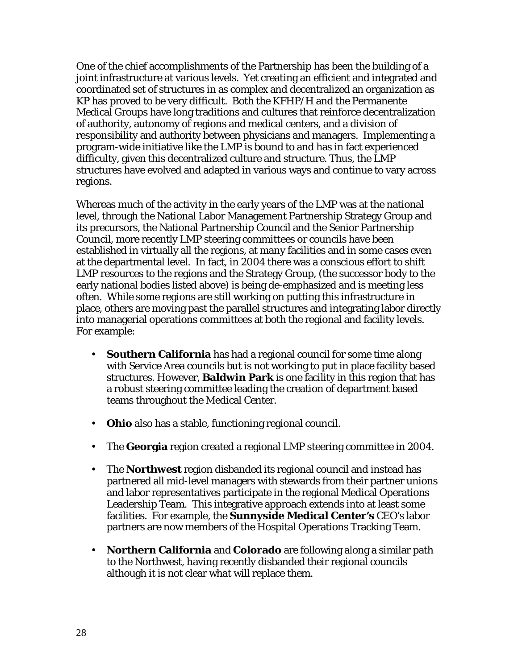One of the chief accomplishments of the Partnership has been the building of a joint infrastructure at various levels. Yet creating an efficient and integrated and coordinated set of structures in as complex and decentralized an organization as KP has proved to be very difficult. Both the KFHP/H and the Permanente Medical Groups have long traditions and cultures that reinforce decentralization of authority, autonomy of regions and medical centers, and a division of responsibility and authority between physicians and managers. Implementing a program-wide initiative like the LMP is bound to and has in fact experienced difficulty, given this decentralized culture and structure. Thus, the LMP structures have evolved and adapted in various ways and continue to vary across regions.

Whereas much of the activity in the early years of the LMP was at the national level, through the National Labor Management Partnership Strategy Group and its precursors, the National Partnership Council and the Senior Partnership Council, more recently LMP steering committees or councils have been established in virtually all the regions, at many facilities and in some cases even at the departmental level. In fact, in 2004 there was a conscious effort to shift LMP resources to the regions and the Strategy Group, (the successor body to the early national bodies listed above) is being de-emphasized and is meeting less often. While some regions are still working on putting this infrastructure in place, others are moving past the parallel structures and integrating labor directly into managerial operations committees at both the regional and facility levels. For example:

- **Southern California** has had a regional council for some time along with Service Area councils but is not working to put in place facility based structures. However, **Baldwin Park** is one facility in this region that has a robust steering committee leading the creation of department based teams throughout the Medical Center.
- **Ohio** also has a stable, functioning regional council.
- The **Georgia** region created a regional LMP steering committee in 2004.
- The **Northwest** region disbanded its regional council and instead has partnered all mid-level managers with stewards from their partner unions and labor representatives participate in the regional Medical Operations Leadership Team. This integrative approach extends into at least some facilities. For example, the **Sunnyside Medical Center's** CEO's labor partners are now members of the Hospital Operations Tracking Team.
- **Northern California** and **Colorado** are following along a similar path to the Northwest, having recently disbanded their regional councils although it is not clear what will replace them.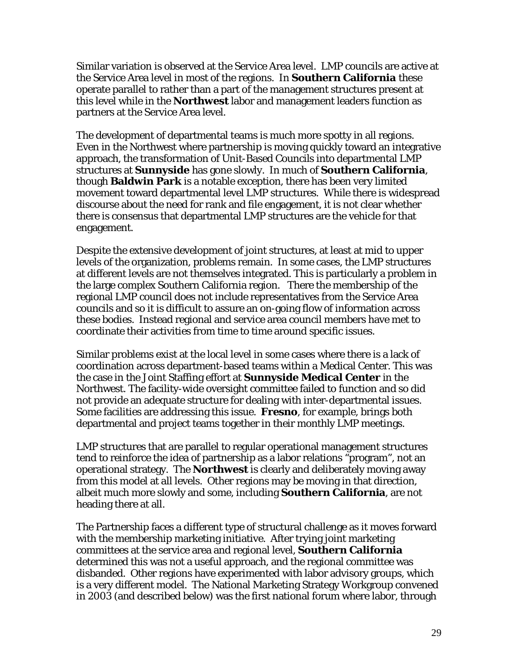Similar variation is observed at the Service Area level. LMP councils are active at the Service Area level in most of the regions. In **Southern California** these operate parallel to rather than a part of the management structures present at this level while in the **Northwest** labor and management leaders function as partners at the Service Area level.

The development of departmental teams is much more spotty in all regions. Even in the Northwest where partnership is moving quickly toward an integrative approach, the transformation of Unit-Based Councils into departmental LMP structures at **Sunnyside** has gone slowly. In much of **Southern California**, though **Baldwin Park** is a notable exception, there has been very limited movement toward departmental level LMP structures. While there is widespread discourse about the need for rank and file engagement, it is not clear whether there is consensus that departmental LMP structures are the vehicle for that engagement.

Despite the extensive development of joint structures, at least at mid to upper levels of the organization, problems remain. In some cases, the LMP structures at different levels are not themselves integrated. This is particularly a problem in the large complex Southern California region. There the membership of the regional LMP council does not include representatives from the Service Area councils and so it is difficult to assure an on-going flow of information across these bodies. Instead regional and service area council members have met to coordinate their activities from time to time around specific issues.

Similar problems exist at the local level in some cases where there is a lack of coordination across department-based teams within a Medical Center. This was the case in the Joint Staffing effort at **Sunnyside Medical Center** in the Northwest. The facility-wide oversight committee failed to function and so did not provide an adequate structure for dealing with inter-departmental issues. Some facilities are addressing this issue. **Fresno**, for example, brings both departmental and project teams together in their monthly LMP meetings.

LMP structures that are parallel to regular operational management structures tend to reinforce the idea of partnership as a labor relations "program", not an operational strategy. The **Northwest** is clearly and deliberately moving away from this model at all levels. Other regions may be moving in that direction, albeit much more slowly and some, including **Southern California**, are not heading there at all.

The Partnership faces a different type of structural challenge as it moves forward with the membership marketing initiative. After trying joint marketing committees at the service area and regional level, **Southern California** determined this was not a useful approach, and the regional committee was disbanded. Other regions have experimented with labor advisory groups, which is a very different model. The National Marketing Strategy Workgroup convened in 2003 (and described below) was the first national forum where labor, through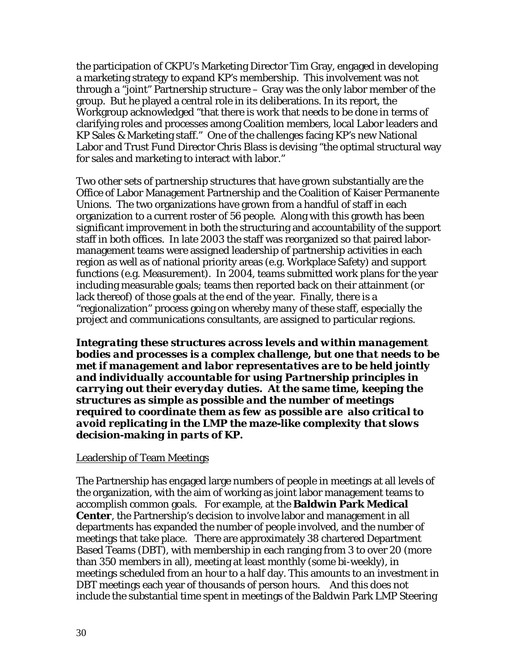the participation of CKPU's Marketing Director Tim Gray, engaged in developing a marketing strategy to expand KP's membership. This involvement was not through a "joint" Partnership structure – Gray was the only labor member of the group. But he played a central role in its deliberations. In its report, the Workgroup acknowledged "that there is work that needs to be done in terms of clarifying roles and processes among Coalition members, local Labor leaders and KP Sales & Marketing staff." One of the challenges facing KP's new National Labor and Trust Fund Director Chris Blass is devising "the optimal structural way for sales and marketing to interact with labor."

Two other sets of partnership structures that have grown substantially are the Office of Labor Management Partnership and the Coalition of Kaiser Permanente Unions. The two organizations have grown from a handful of staff in each organization to a current roster of 56 people. Along with this growth has been significant improvement in both the structuring and accountability of the support staff in both offices. In late 2003 the staff was reorganized so that paired labormanagement teams were assigned leadership of partnership activities in each region as well as of national priority areas (e.g. Workplace Safety) and support functions (e.g. Measurement). In 2004, teams submitted work plans for the year including measurable goals; teams then reported back on their attainment (or lack thereof) of those goals at the end of the year. Finally, there is a "regionalization" process going on whereby many of these staff, especially the project and communications consultants, are assigned to particular regions.

*Integrating these structures across levels and within management bodies and processes is a complex challenge, but one that needs to be met if management and labor representatives are to be held jointly and individually accountable for using Partnership principles in carrying out their everyday duties. At the same time, keeping the structures as simple as possible and the number of meetings required to coordinate them as few as possible are also critical to avoid replicating in the LMP the maze-like complexity that slows decision-making in parts of KP.* 

#### Leadership of Team Meetings

The Partnership has engaged large numbers of people in meetings at all levels of the organization, with the aim of working as joint labor management teams to accomplish common goals. For example, at the **Baldwin Park Medical Center**, the Partnership's decision to involve labor and management in all departments has expanded the number of people involved, and the number of meetings that take place. There are approximately 38 chartered Department Based Teams (DBT), with membership in each ranging from 3 to over 20 (more than 350 members in all), meeting at least monthly (some bi-weekly), in meetings scheduled from an hour to a half day. This amounts to an investment in DBT meetings each year of thousands of person hours. And this does not include the substantial time spent in meetings of the Baldwin Park LMP Steering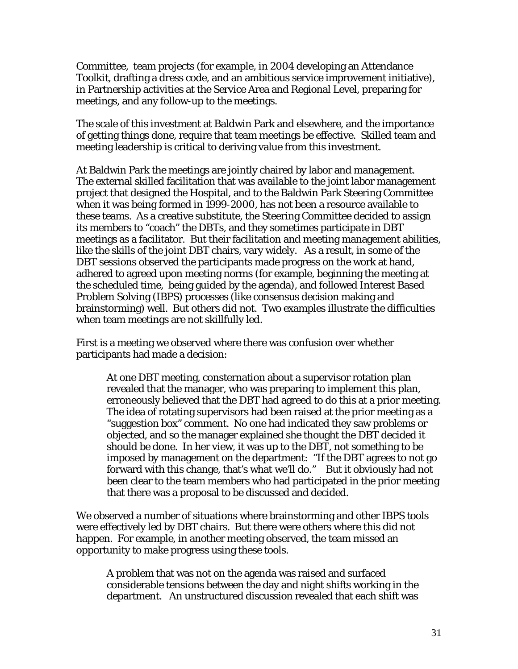Committee, team projects (for example, in 2004 developing an Attendance Toolkit, drafting a dress code, and an ambitious service improvement initiative), in Partnership activities at the Service Area and Regional Level, preparing for meetings, and any follow-up to the meetings.

The scale of this investment at Baldwin Park and elsewhere, and the importance of getting things done, require that team meetings be effective. Skilled team and meeting leadership is critical to deriving value from this investment.

At Baldwin Park the meetings are jointly chaired by labor and management. The external skilled facilitation that was available to the joint labor management project that designed the Hospital, and to the Baldwin Park Steering Committee when it was being formed in 1999-2000, has not been a resource available to these teams. As a creative substitute, the Steering Committee decided to assign its members to "coach" the DBTs, and they sometimes participate in DBT meetings as a facilitator. But their facilitation and meeting management abilities, like the skills of the joint DBT chairs, vary widely. As a result, in some of the DBT sessions observed the participants made progress on the work at hand, adhered to agreed upon meeting norms (for example, beginning the meeting at the scheduled time, being guided by the agenda), and followed Interest Based Problem Solving (IBPS) processes (like consensus decision making and brainstorming) well. But others did not. Two examples illustrate the difficulties when team meetings are not skillfully led.

First is a meeting we observed where there was confusion over whether participants had made a decision:

At one DBT meeting, consternation about a supervisor rotation plan revealed that the manager, who was preparing to implement this plan, erroneously believed that the DBT had agreed to do this at a prior meeting. The idea of rotating supervisors had been raised at the prior meeting as a "suggestion box" comment. No one had indicated they saw problems or objected, and so the manager explained she thought the DBT decided it should be done. In her view, it was up to the DBT, not something to be imposed by management on the department: "If the DBT agrees to not go forward with this change, that's what we'll do." But it obviously had not been clear to the team members who had participated in the prior meeting that there was a proposal to be discussed and decided.

We observed a number of situations where brainstorming and other IBPS tools were effectively led by DBT chairs. But there were others where this did not happen. For example, in another meeting observed, the team missed an opportunity to make progress using these tools.

A problem that was not on the agenda was raised and surfaced considerable tensions between the day and night shifts working in the department. An unstructured discussion revealed that each shift was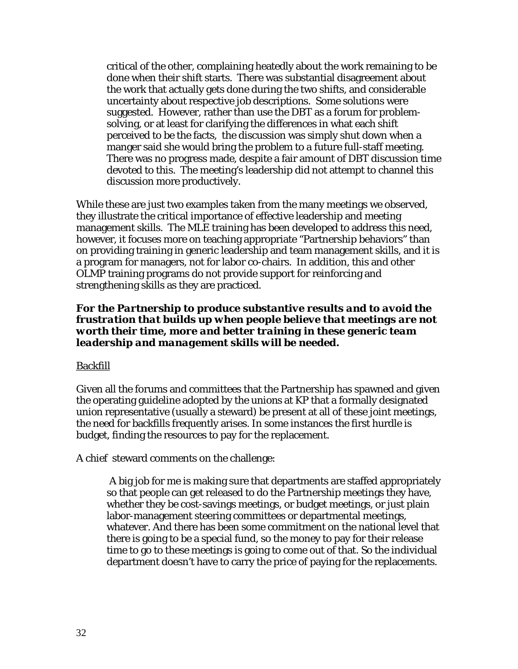critical of the other, complaining heatedly about the work remaining to be done when their shift starts. There was substantial disagreement about the work that actually gets done during the two shifts, and considerable uncertainty about respective job descriptions. Some solutions were suggested. However, rather than use the DBT as a forum for problemsolving, or at least for clarifying the differences in what each shift perceived to be the facts, the discussion was simply shut down when a manger said she would bring the problem to a future full-staff meeting. There was no progress made, despite a fair amount of DBT discussion time devoted to this. The meeting's leadership did not attempt to channel this discussion more productively.

While these are just two examples taken from the many meetings we observed, they illustrate the critical importance of effective leadership and meeting management skills. The MLE training has been developed to address this need, however, it focuses more on teaching appropriate "Partnership behaviors" than on providing training in generic leadership and team management skills, and it is a program for managers, not for labor co-chairs. In addition, this and other OLMP training programs do not provide support for reinforcing and strengthening skills as they are practiced.

#### *For the Partnership to produce substantive results and to avoid the frustration that builds up when people believe that meetings are not worth their time, more and better training in these generic team leadership and management skills will be needed.*

#### Backfill

Given all the forums and committees that the Partnership has spawned and given the operating guideline adopted by the unions at KP that a formally designated union representative (usually a steward) be present at all of these joint meetings, the need for backfills frequently arises. In some instances the first hurdle is budget, finding the resources to pay for the replacement.

A chief steward comments on the challenge:

A big job for me is making sure that departments are staffed appropriately so that people can get released to do the Partnership meetings they have, whether they be cost-savings meetings, or budget meetings, or just plain labor-management steering committees or departmental meetings, whatever. And there has been some commitment on the national level that there is going to be a special fund, so the money to pay for their release time to go to these meetings is going to come out of that. So the individual department doesn't have to carry the price of paying for the replacements.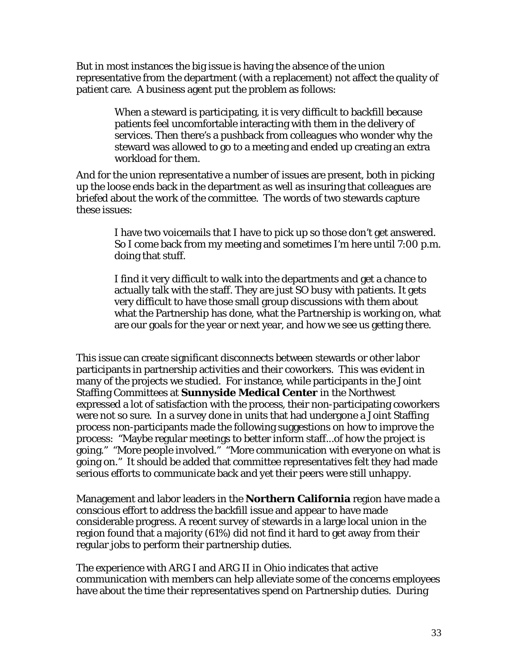But in most instances the big issue is having the absence of the union representative from the department (with a replacement) not affect the quality of patient care. A business agent put the problem as follows:

> When a steward is participating, it is very difficult to backfill because patients feel uncomfortable interacting with them in the delivery of services. Then there's a pushback from colleagues who wonder why the steward was allowed to go to a meeting and ended up creating an extra workload for them.

And for the union representative a number of issues are present, both in picking up the loose ends back in the department as well as insuring that colleagues are briefed about the work of the committee. The words of two stewards capture these issues:

> I have two voicemails that I have to pick up so those don't get answered. So I come back from my meeting and sometimes I'm here until 7:00 p.m. doing that stuff.

> I find it very difficult to walk into the departments and get a chance to actually talk with the staff. They are just SO busy with patients. It gets very difficult to have those small group discussions with them about what the Partnership has done, what the Partnership is working on, what are our goals for the year or next year, and how we see us getting there.

This issue can create significant disconnects between stewards or other labor participants in partnership activities and their coworkers. This was evident in many of the projects we studied. For instance, while participants in the Joint Staffing Committees at **Sunnyside Medical Center** in the Northwest expressed a lot of satisfaction with the process, their non-participating coworkers were not so sure. In a survey done in units that had undergone a Joint Staffing process non-participants made the following suggestions on how to improve the process: "Maybe regular meetings to better inform staff...of how the project is going." "More people involved." "More communication with everyone on what is going on." It should be added that committee representatives felt they had made serious efforts to communicate back and yet their peers were still unhappy.

Management and labor leaders in the **Northern California** region have made a conscious effort to address the backfill issue and appear to have made considerable progress. A recent survey of stewards in a large local union in the region found that a majority (61%) did not find it hard to get away from their regular jobs to perform their partnership duties.

The experience with ARG I and ARG II in Ohio indicates that active communication with members can help alleviate some of the concerns employees have about the time their representatives spend on Partnership duties. During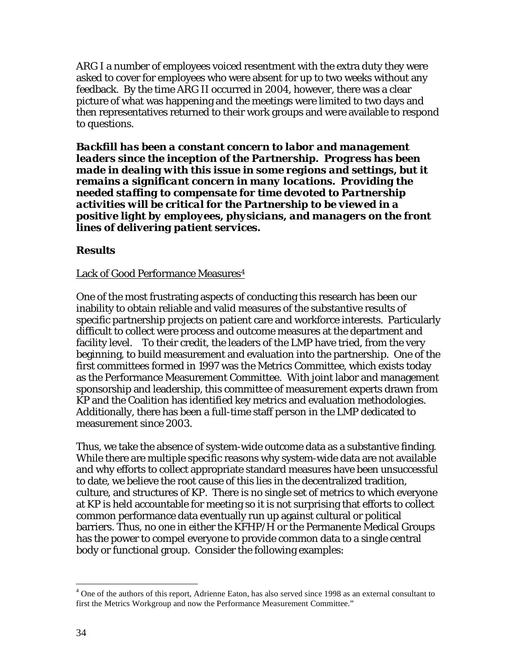ARG I a number of employees voiced resentment with the extra duty they were asked to cover for employees who were absent for up to two weeks without any feedback. By the time ARG II occurred in 2004, however, there was a clear picture of what was happening and the meetings were limited to two days and then representatives returned to their work groups and were available to respond to questions.

*Backfill has been a constant concern to labor and management leaders since the inception of the Partnership. Progress has been made in dealing with this issue in some regions and settings, but it remains a significant concern in many locations. Providing the needed staffing to compensate for time devoted to Partnership activities will be critical for the Partnership to be viewed in a positive light by employees, physicians, and managers on the front lines of delivering patient services.* 

#### **Results**

#### Lack of Good Performance Measures<sup>4</sup>

One of the most frustrating aspects of conducting this research has been our inability to obtain reliable and valid measures of the substantive results of specific partnership projects on patient care and workforce interests. Particularly difficult to collect were process and outcome measures at the department and facility level. To their credit, the leaders of the LMP have tried, from the very beginning, to build measurement and evaluation into the partnership. One of the first committees formed in 1997 was the Metrics Committee, which exists today as the Performance Measurement Committee. With joint labor and management sponsorship and leadership, this committee of measurement experts drawn from KP and the Coalition has identified key metrics and evaluation methodologies. Additionally, there has been a full-time staff person in the LMP dedicated to measurement since 2003.

Thus, we take the absence of system-wide outcome data as a substantive finding. While there are multiple specific reasons why system-wide data are not available and why efforts to collect appropriate standard measures have been unsuccessful to date, we believe the root cause of this lies in the decentralized tradition, culture, and structures of KP. There is no single set of metrics to which everyone at KP is held accountable for meeting so it is not surprising that efforts to collect common performance data eventually run up against cultural or political barriers. Thus, no one in either the KFHP/H or the Permanente Medical Groups has the power to compel everyone to provide common data to a single central body or functional group. Consider the following examples:

<sup>&</sup>lt;sup>4</sup> One of the authors of this report, Adrienne Eaton, has also served since 1998 as an external consultant to first the Metrics Workgroup and now the Performance Measurement Committee."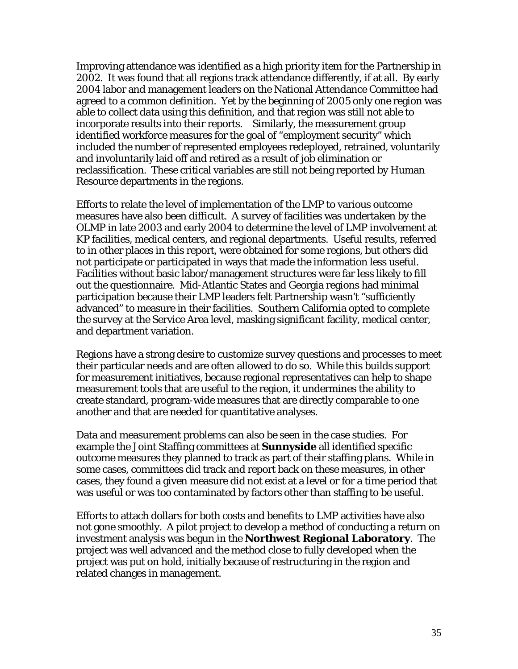Improving attendance was identified as a high priority item for the Partnership in 2002. It was found that all regions track attendance differently, if at all. By early 2004 labor and management leaders on the National Attendance Committee had agreed to a common definition. Yet by the beginning of 2005 only one region was able to collect data using this definition, and that region was still not able to incorporate results into their reports. Similarly, the measurement group identified workforce measures for the goal of "employment security" which included the number of represented employees redeployed, retrained, voluntarily and involuntarily laid off and retired as a result of job elimination or reclassification. These critical variables are still not being reported by Human Resource departments in the regions.

Efforts to relate the level of implementation of the LMP to various outcome measures have also been difficult. A survey of facilities was undertaken by the OLMP in late 2003 and early 2004 to determine the level of LMP involvement at KP facilities, medical centers, and regional departments. Useful results, referred to in other places in this report, were obtained for some regions, but others did not participate or participated in ways that made the information less useful. Facilities without basic labor/management structures were far less likely to fill out the questionnaire. Mid-Atlantic States and Georgia regions had minimal participation because their LMP leaders felt Partnership wasn't "sufficiently advanced" to measure in their facilities. Southern California opted to complete the survey at the Service Area level, masking significant facility, medical center, and department variation.

Regions have a strong desire to customize survey questions and processes to meet their particular needs and are often allowed to do so. While this builds support for measurement initiatives, because regional representatives can help to shape measurement tools that are useful to the region, it undermines the ability to create standard, program-wide measures that are directly comparable to one another and that are needed for quantitative analyses.

Data and measurement problems can also be seen in the case studies. For example the Joint Staffing committees at **Sunnyside** all identified specific outcome measures they planned to track as part of their staffing plans. While in some cases, committees did track and report back on these measures, in other cases, they found a given measure did not exist at a level or for a time period that was useful or was too contaminated by factors other than staffing to be useful.

Efforts to attach dollars for both costs and benefits to LMP activities have also not gone smoothly. A pilot project to develop a method of conducting a return on investment analysis was begun in the **Northwest Regional Laboratory**. The project was well advanced and the method close to fully developed when the project was put on hold, initially because of restructuring in the region and related changes in management.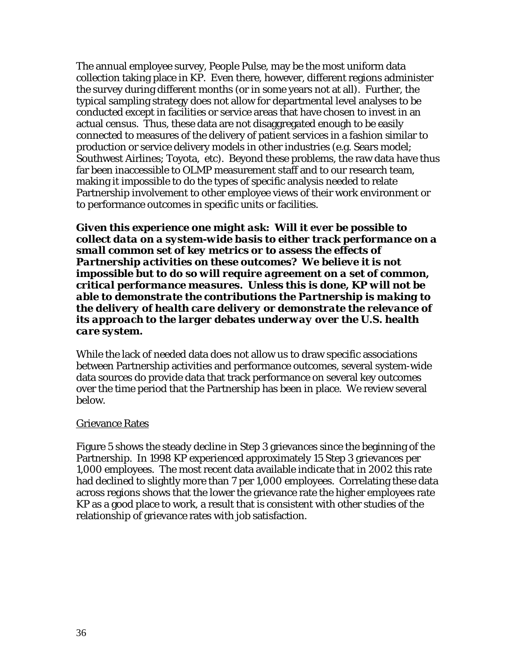The annual employee survey, People Pulse, may be the most uniform data collection taking place in KP. Even there, however, different regions administer the survey during different months (or in some years not at all). Further, the typical sampling strategy does not allow for departmental level analyses to be conducted except in facilities or service areas that have chosen to invest in an actual census. Thus, these data are not disaggregated enough to be easily connected to measures of the delivery of patient services in a fashion similar to production or service delivery models in other industries (e.g. Sears model; Southwest Airlines; Toyota, etc). Beyond these problems, the raw data have thus far been inaccessible to OLMP measurement staff and to our research team, making it impossible to do the types of specific analysis needed to relate Partnership involvement to other employee views of their work environment or to performance outcomes in specific units or facilities.

*Given this experience one might ask: Will it ever be possible to collect data on a system-wide basis to either track performance on a small common set of key metrics or to assess the effects of Partnership activities on these outcomes? We believe it is not impossible but to do so will require agreement on a set of common, critical performance measures. Unless this is done, KP will not be able to demonstrate the contributions the Partnership is making to the delivery of health care delivery or demonstrate the relevance of its approach to the larger debates underway over the U.S. health care system.* 

While the lack of needed data does not allow us to draw specific associations between Partnership activities and performance outcomes, several system-wide data sources do provide data that track performance on several key outcomes over the time period that the Partnership has been in place. We review several below.

#### Grievance Rates

Figure 5 shows the steady decline in Step 3 grievances since the beginning of the Partnership. In 1998 KP experienced approximately 15 Step 3 grievances per 1,000 employees. The most recent data available indicate that in 2002 this rate had declined to slightly more than 7 per 1,000 employees. Correlating these data across regions shows that the lower the grievance rate the higher employees rate KP as a good place to work, a result that is consistent with other studies of the relationship of grievance rates with job satisfaction.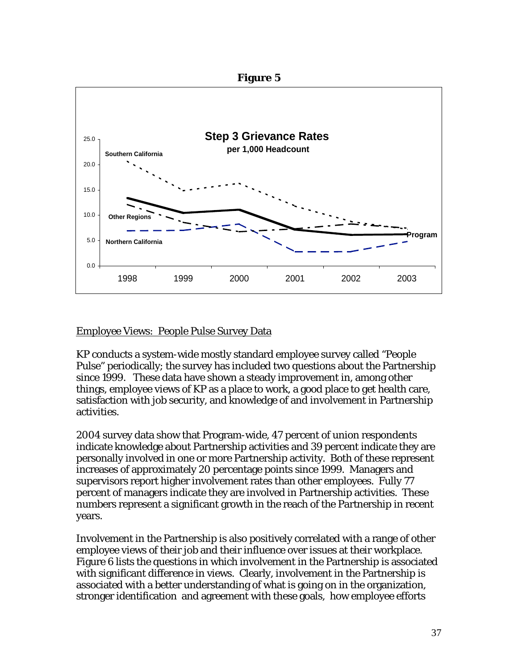

#### Employee Views: People Pulse Survey Data

KP conducts a system-wide mostly standard employee survey called "People Pulse" periodically; the survey has included two questions about the Partnership since 1999. These data have shown a steady improvement in, among other things, employee views of KP as a place to work, a good place to get health care, satisfaction with job security, and knowledge of and involvement in Partnership activities.

2004 survey data show that Program-wide, 47 percent of union respondents indicate knowledge about Partnership activities and 39 percent indicate they are personally involved in one or more Partnership activity. Both of these represent increases of approximately 20 percentage points since 1999. Managers and supervisors report higher involvement rates than other employees. Fully 77 percent of managers indicate they are involved in Partnership activities. These numbers represent a significant growth in the reach of the Partnership in recent years.

Involvement in the Partnership is also positively correlated with a range of other employee views of their job and their influence over issues at their workplace. Figure 6 lists the questions in which involvement in the Partnership is associated with significant difference in views. Clearly, involvement in the Partnership is associated with a better understanding of what is going on in the organization, stronger identification and agreement with these goals, how employee efforts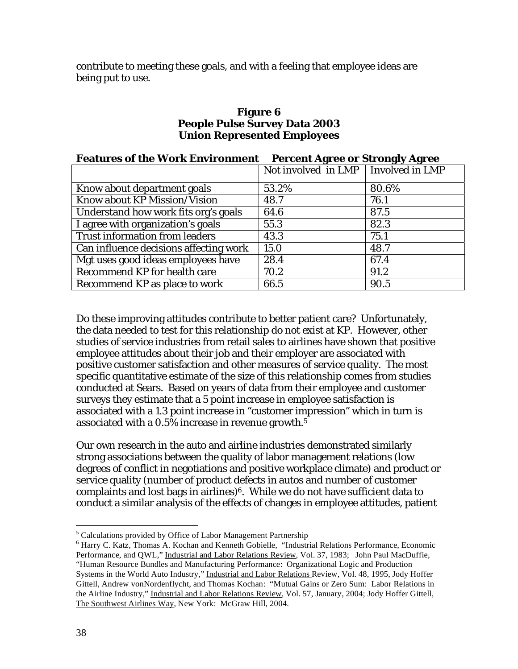contribute to meeting these goals, and with a feeling that employee ideas are being put to use.

#### **Figure 6 People Pulse Survey Data 2003 Union Represented Employees**

| <b>Features of the Work Environment</b> | <b>Percent Agree or Strongly Agree</b> |       |  |  |
|-----------------------------------------|----------------------------------------|-------|--|--|
|                                         | Not involved in LMP   Involved in LMP  |       |  |  |
| Know about department goals             | 53.2%                                  | 80.6% |  |  |
| Know about KP Mission/Vision            | 48.7                                   | 76.1  |  |  |
| Understand how work fits org's goals    | 64.6                                   | 87.5  |  |  |
| I agree with organization's goals       | 55.3                                   | 82.3  |  |  |
| Trust information from leaders          | 43.3                                   | 75.1  |  |  |
| Can influence decisions affecting work  | 15.0                                   | 48.7  |  |  |
| Mgt uses good ideas employees have      | 28.4                                   | 67.4  |  |  |
| Recommend KP for health care            | 70.2                                   | 91.2  |  |  |
| Recommend KP as place to work           | 66.5                                   | 90.5  |  |  |

Do these improving attitudes contribute to better patient care? Unfortunately, the data needed to test for this relationship do not exist at KP. However, other studies of service industries from retail sales to airlines have shown that positive employee attitudes about their job and their employer are associated with positive customer satisfaction and other measures of service quality. The most specific quantitative estimate of the size of this relationship comes from studies conducted at Sears. Based on years of data from their employee and customer surveys they estimate that a 5 point increase in employee satisfaction is associated with a 1.3 point increase in "customer impression" which in turn is associated with a 0.5% increase in revenue growth.<sup>5</sup>

Our own research in the auto and airline industries demonstrated similarly strong associations between the quality of labor management relations (low degrees of conflict in negotiations and positive workplace climate) and product or service quality (number of product defects in autos and number of customer complaints and lost bags in airlines)<sup>6</sup>. While we do not have sufficient data to conduct a similar analysis of the effects of changes in employee attitudes, patient

 $\overline{a}$ 

<sup>&</sup>lt;sup>5</sup> Calculations provided by Office of Labor Management Partnership

<sup>&</sup>lt;sup>6</sup> Harry C. Katz, Thomas A. Kochan and Kenneth Gobielle, "Industrial Relations Performance, Economic Performance, and QWL," Industrial and Labor Relations Review, Vol. 37, 1983; John Paul MacDuffie, "Human Resource Bundles and Manufacturing Performance: Organizational Logic and Production Systems in the World Auto Industry," Industrial and Labor Relations Review, Vol. 48, 1995, Jody Hoffer Gittell, Andrew vonNordenflycht, and Thomas Kochan: "Mutual Gains or Zero Sum: Labor Relations in the Airline Industry," Industrial and Labor Relations Review, Vol. 57, January, 2004; Jody Hoffer Gittell, The Southwest Airlines Way, New York: McGraw Hill, 2004.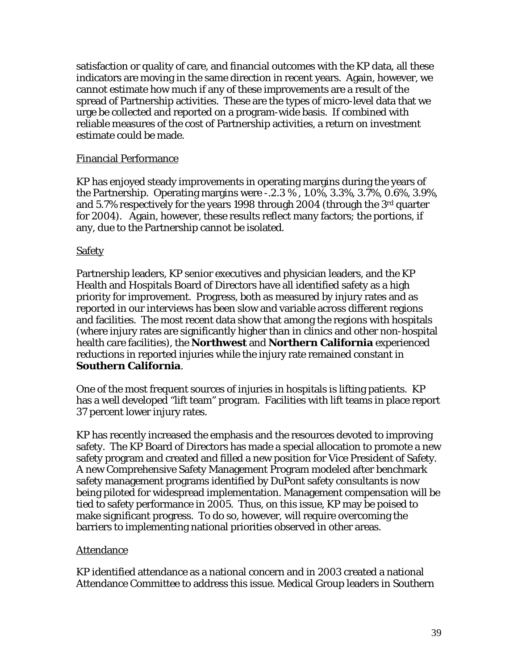satisfaction or quality of care, and financial outcomes with the KP data, all these indicators are moving in the same direction in recent years. Again, however, we cannot estimate how much if any of these improvements are a result of the spread of Partnership activities. These are the types of micro-level data that we urge be collected and reported on a program-wide basis. If combined with reliable measures of the cost of Partnership activities, a return on investment estimate could be made.

#### Financial Performance

KP has enjoyed steady improvements in operating margins during the years of the Partnership. Operating margins were -.2.3 % , 1.0%, 3.3%, 3.7%, 0.6%, 3.9%, and 5.7% respectively for the years 1998 through 2004 (through the 3rd quarter for 2004). Again, however, these results reflect many factors; the portions, if any, due to the Partnership cannot be isolated.

#### **Safety**

Partnership leaders, KP senior executives and physician leaders, and the KP Health and Hospitals Board of Directors have all identified safety as a high priority for improvement. Progress, both as measured by injury rates and as reported in our interviews has been slow and variable across different regions and facilities. The most recent data show that among the regions with hospitals (where injury rates are significantly higher than in clinics and other non-hospital health care facilities), the **Northwest** and **Northern California** experienced reductions in reported injuries while the injury rate remained constant in **Southern California**.

One of the most frequent sources of injuries in hospitals is lifting patients. KP has a well developed "lift team" program. Facilities with lift teams in place report 37 percent lower injury rates.

KP has recently increased the emphasis and the resources devoted to improving safety. The KP Board of Directors has made a special allocation to promote a new safety program and created and filled a new position for Vice President of Safety. A new Comprehensive Safety Management Program modeled after benchmark safety management programs identified by DuPont safety consultants is now being piloted for widespread implementation. Management compensation will be tied to safety performance in 2005. Thus, on this issue, KP may be poised to make significant progress. To do so, however, will require overcoming the barriers to implementing national priorities observed in other areas.

#### **Attendance**

KP identified attendance as a national concern and in 2003 created a national Attendance Committee to address this issue. Medical Group leaders in Southern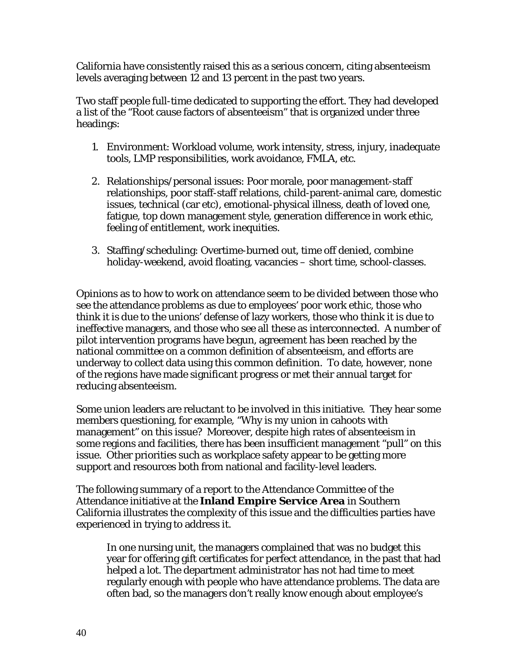California have consistently raised this as a serious concern, citing absenteeism levels averaging between 12 and 13 percent in the past two years.

Two staff people full-time dedicated to supporting the effort. They had developed a list of the "Root cause factors of absenteeism" that is organized under three headings:

- 1. Environment: Workload volume, work intensity, stress, injury, inadequate tools, LMP responsibilities, work avoidance, FMLA, etc.
- 2. Relationships/personal issues: Poor morale, poor management-staff relationships, poor staff-staff relations, child-parent-animal care, domestic issues, technical (car etc), emotional-physical illness, death of loved one, fatigue, top down management style, generation difference in work ethic, feeling of entitlement, work inequities.
- 3. Staffing/scheduling: Overtime-burned out, time off denied, combine holiday-weekend, avoid floating, vacancies – short time, school-classes.

Opinions as to how to work on attendance seem to be divided between those who see the attendance problems as due to employees' poor work ethic, those who think it is due to the unions' defense of lazy workers, those who think it is due to ineffective managers, and those who see all these as interconnected. A number of pilot intervention programs have begun, agreement has been reached by the national committee on a common definition of absenteeism, and efforts are underway to collect data using this common definition. To date, however, none of the regions have made significant progress or met their annual target for reducing absenteeism.

Some union leaders are reluctant to be involved in this initiative. They hear some members questioning, for example, "Why is my union in cahoots with management" on this issue? Moreover, despite high rates of absenteeism in some regions and facilities, there has been insufficient management "pull" on this issue. Other priorities such as workplace safety appear to be getting more support and resources both from national and facility-level leaders.

The following summary of a report to the Attendance Committee of the Attendance initiative at the **Inland Empire Service Area** in Southern California illustrates the complexity of this issue and the difficulties parties have experienced in trying to address it.

In one nursing unit, the managers complained that was no budget this year for offering gift certificates for perfect attendance, in the past that had helped a lot. The department administrator has not had time to meet regularly enough with people who have attendance problems. The data are often bad, so the managers don't really know enough about employee's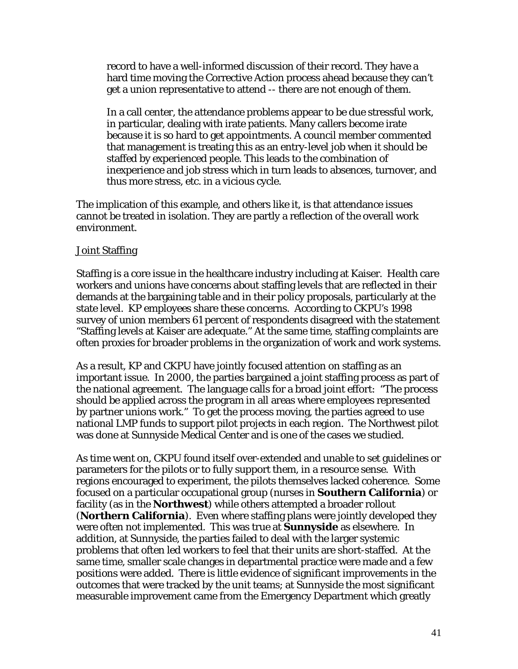record to have a well-informed discussion of their record. They have a hard time moving the Corrective Action process ahead because they can't get a union representative to attend -- there are not enough of them.

In a call center, the attendance problems appear to be due stressful work, in particular, dealing with irate patients. Many callers become irate because it is so hard to get appointments. A council member commented that management is treating this as an entry-level job when it should be staffed by experienced people. This leads to the combination of inexperience and job stress which in turn leads to absences, turnover, and thus more stress, etc. in a vicious cycle.

The implication of this example, and others like it, is that attendance issues cannot be treated in isolation. They are partly a reflection of the overall work environment.

#### Joint Staffing

Staffing is a core issue in the healthcare industry including at Kaiser. Health care workers and unions have concerns about staffing levels that are reflected in their demands at the bargaining table and in their policy proposals, particularly at the state level. KP employees share these concerns. According to CKPU's 1998 survey of union members 61 percent of respondents disagreed with the statement "Staffing levels at Kaiser are adequate." At the same time, staffing complaints are often proxies for broader problems in the organization of work and work systems.

As a result, KP and CKPU have jointly focused attention on staffing as an important issue. In 2000, the parties bargained a joint staffing process as part of the national agreement. The language calls for a broad joint effort: "The process should be applied across the program in all areas where employees represented by partner unions work." To get the process moving, the parties agreed to use national LMP funds to support pilot projects in each region. The Northwest pilot was done at Sunnyside Medical Center and is one of the cases we studied.

As time went on, CKPU found itself over-extended and unable to set guidelines or parameters for the pilots or to fully support them, in a resource sense. With regions encouraged to experiment, the pilots themselves lacked coherence. Some focused on a particular occupational group (nurses in **Southern California**) or facility (as in the **Northwest**) while others attempted a broader rollout (**Northern California**). Even where staffing plans were jointly developed they were often not implemented. This was true at **Sunnyside** as elsewhere. In addition, at Sunnyside, the parties failed to deal with the larger systemic problems that often led workers to feel that their units are short-staffed. At the same time, smaller scale changes in departmental practice were made and a few positions were added. There is little evidence of significant improvements in the outcomes that were tracked by the unit teams; at Sunnyside the most significant measurable improvement came from the Emergency Department which greatly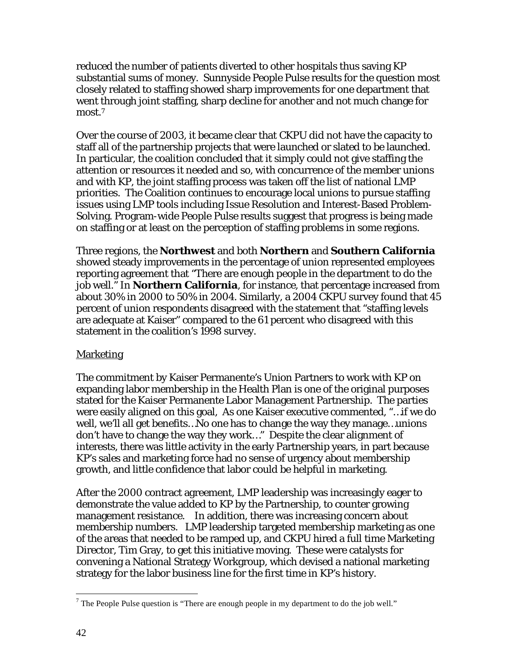reduced the number of patients diverted to other hospitals thus saving KP substantial sums of money. Sunnyside People Pulse results for the question most closely related to staffing showed sharp improvements for one department that went through joint staffing, sharp decline for another and not much change for most.7

Over the course of 2003, it became clear that CKPU did not have the capacity to staff all of the partnership projects that were launched or slated to be launched. In particular, the coalition concluded that it simply could not give staffing the attention or resources it needed and so, with concurrence of the member unions and with KP, the joint staffing process was taken off the list of national LMP priorities. The Coalition continues to encourage local unions to pursue staffing issues using LMP tools including Issue Resolution and Interest-Based Problem-Solving. Program-wide People Pulse results suggest that progress is being made on staffing or at least on the perception of staffing problems in some regions.

Three regions, the **Northwest** and both **Northern** and **Southern California** showed steady improvements in the percentage of union represented employees reporting agreement that "There are enough people in the department to do the job well." In **Northern California**, for instance, that percentage increased from about 30% in 2000 to 50% in 2004. Similarly, a 2004 CKPU survey found that 45 percent of union respondents disagreed with the statement that "staffing levels are adequate at Kaiser" compared to the 61 percent who disagreed with this statement in the coalition's 1998 survey.

## Marketing

The commitment by Kaiser Permanente's Union Partners to work with KP on expanding labor membership in the Health Plan is one of the original purposes stated for the Kaiser Permanente Labor Management Partnership. The parties were easily aligned on this goal, As one Kaiser executive commented, "…if we do well, we'll all get benefits…No one has to change the way they manage…unions don't have to change the way they work…" Despite the clear alignment of interests, there was little activity in the early Partnership years, in part because KP's sales and marketing force had no sense of urgency about membership growth, and little confidence that labor could be helpful in marketing.

After the 2000 contract agreement, LMP leadership was increasingly eager to demonstrate the value added to KP by the Partnership, to counter growing management resistance. In addition, there was increasing concern about membership numbers. LMP leadership targeted membership marketing as one of the areas that needed to be ramped up, and CKPU hired a full time Marketing Director, Tim Gray, to get this initiative moving. These were catalysts for convening a National Strategy Workgroup, which devised a national marketing strategy for the labor business line for the first time in KP's history.

1

<sup>&</sup>lt;sup>7</sup> The People Pulse question is "There are enough people in my department to do the job well."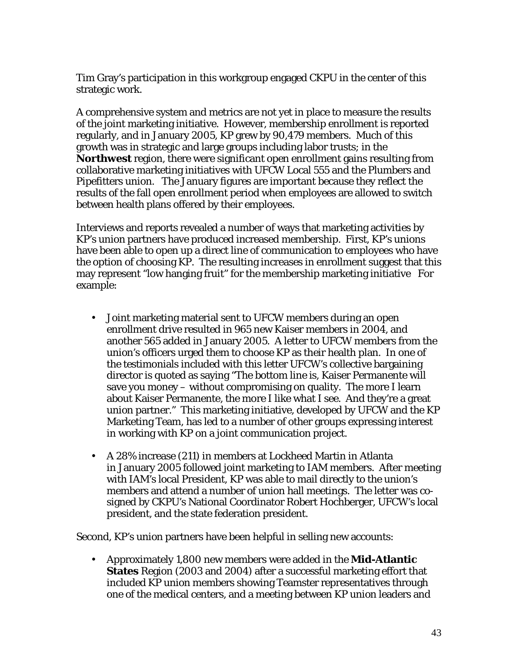Tim Gray's participation in this workgroup engaged CKPU in the center of this strategic work.

A comprehensive system and metrics are not yet in place to measure the results of the joint marketing initiative. However, membership enrollment is reported regularly, and in January 2005, KP grew by 90,479 members. Much of this growth was in strategic and large groups including labor trusts; in the **Northwest** region, there were significant open enrollment gains resulting from collaborative marketing initiatives with UFCW Local 555 and the Plumbers and Pipefitters union. The January figures are important because they reflect the results of the fall open enrollment period when employees are allowed to switch between health plans offered by their employees.

Interviews and reports revealed a number of ways that marketing activities by KP's union partners have produced increased membership. First, KP's unions have been able to open up a direct line of communication to employees who have the option of choosing KP. The resulting increases in enrollment suggest that this may represent "low hanging fruit" for the membership marketing initiative For example:

- Joint marketing material sent to UFCW members during an open enrollment drive resulted in 965 new Kaiser members in 2004, and another 565 added in January 2005. A letter to UFCW members from the union's officers urged them to choose KP as their health plan. In one of the testimonials included with this letter UFCW's collective bargaining director is quoted as saying "The bottom line is, Kaiser Permanente will save you money – without compromising on quality. The more I learn about Kaiser Permanente, the more I like what I see. And they're a great union partner." This marketing initiative, developed by UFCW and the KP Marketing Team, has led to a number of other groups expressing interest in working with KP on a joint communication project.
- A 28% increase (211) in members at Lockheed Martin in Atlanta in January 2005 followed joint marketing to IAM members. After meeting with IAM's local President, KP was able to mail directly to the union's members and attend a number of union hall meetings. The letter was cosigned by CKPU's National Coordinator Robert Hochberger, UFCW's local president, and the state federation president.

Second, KP's union partners have been helpful in selling new accounts:

• Approximately 1,800 new members were added in the **Mid-Atlantic States** Region (2003 and 2004) after a successful marketing effort that included KP union members showing Teamster representatives through one of the medical centers, and a meeting between KP union leaders and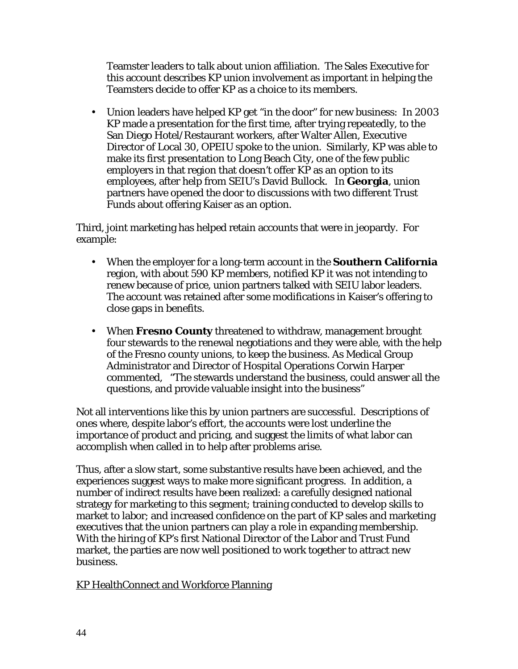Teamster leaders to talk about union affiliation. The Sales Executive for this account describes KP union involvement as important in helping the Teamsters decide to offer KP as a choice to its members.

• Union leaders have helped KP get "in the door" for new business: In 2003 KP made a presentation for the first time, after trying repeatedly, to the San Diego Hotel/Restaurant workers, after Walter Allen, Executive Director of Local 30, OPEIU spoke to the union. Similarly, KP was able to make its first presentation to Long Beach City, one of the few public employers in that region that doesn't offer KP as an option to its employees, after help from SEIU's David Bullock. In **Georgia**, union partners have opened the door to discussions with two different Trust Funds about offering Kaiser as an option.

Third, joint marketing has helped retain accounts that were in jeopardy. For example:

- When the employer for a long-term account in the **Southern California**  region, with about 590 KP members, notified KP it was not intending to renew because of price, union partners talked with SEIU labor leaders. The account was retained after some modifications in Kaiser's offering to close gaps in benefits.
- When **Fresno County** threatened to withdraw, management brought four stewards to the renewal negotiations and they were able, with the help of the Fresno county unions, to keep the business. As Medical Group Administrator and Director of Hospital Operations Corwin Harper commented, "The stewards understand the business, could answer all the questions, and provide valuable insight into the business"

Not all interventions like this by union partners are successful. Descriptions of ones where, despite labor's effort, the accounts were lost underline the importance of product and pricing, and suggest the limits of what labor can accomplish when called in to help after problems arise.

Thus, after a slow start, some substantive results have been achieved, and the experiences suggest ways to make more significant progress. In addition, a number of indirect results have been realized: a carefully designed national strategy for marketing to this segment; training conducted to develop skills to market to labor; and increased confidence on the part of KP sales and marketing executives that the union partners can play a role in expanding membership. With the hiring of KP's first National Director of the Labor and Trust Fund market, the parties are now well positioned to work together to attract new business.

KP HealthConnect and Workforce Planning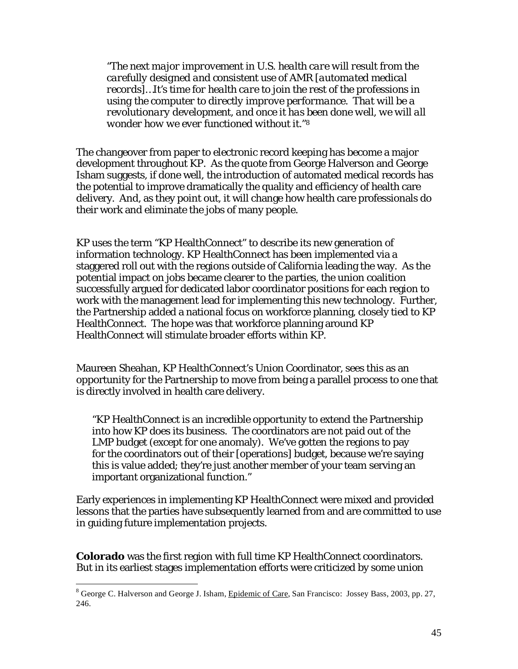*"The next major improvement in U.S. health care will result from the carefully designed and consistent use of AMR [automated medical records]…It's time for health care to join the rest of the professions in using the computer to directly improve performance. That will be a revolutionary development, and once it has been done well, we will all wonder how we ever functioned without it."8* 

The changeover from paper to electronic record keeping has become a major development throughout KP. As the quote from George Halverson and George Isham suggests, if done well, the introduction of automated medical records has the potential to improve dramatically the quality and efficiency of health care delivery. And, as they point out, it will change how health care professionals do their work and eliminate the jobs of many people.

KP uses the term "KP HealthConnect" to describe its new generation of information technology. KP HealthConnect has been implemented via a staggered roll out with the regions outside of California leading the way. As the potential impact on jobs became clearer to the parties, the union coalition successfully argued for dedicated labor coordinator positions for each region to work with the management lead for implementing this new technology. Further, the Partnership added a national focus on workforce planning, closely tied to KP HealthConnect. The hope was that workforce planning around KP HealthConnect will stimulate broader efforts within KP.

Maureen Sheahan, KP HealthConnect's Union Coordinator, sees this as an opportunity for the Partnership to move from being a parallel process to one that is directly involved in health care delivery.

"KP HealthConnect is an incredible opportunity to extend the Partnership into how KP does its business. The coordinators are not paid out of the LMP budget (except for one anomaly). We've gotten the regions to pay for the coordinators out of their [operations] budget, because we're saying this is value added; they're just another member of your team serving an important organizational function."

Early experiences in implementing KP HealthConnect were mixed and provided lessons that the parties have subsequently learned from and are committed to use in guiding future implementation projects.

**Colorado** was the first region with full time KP HealthConnect coordinators. But in its earliest stages implementation efforts were criticized by some union

 $\overline{a}$ <sup>8</sup> George C. Halverson and George J. Isham, Epidemic of Care, San Francisco: Jossey Bass, 2003, pp. 27, 246.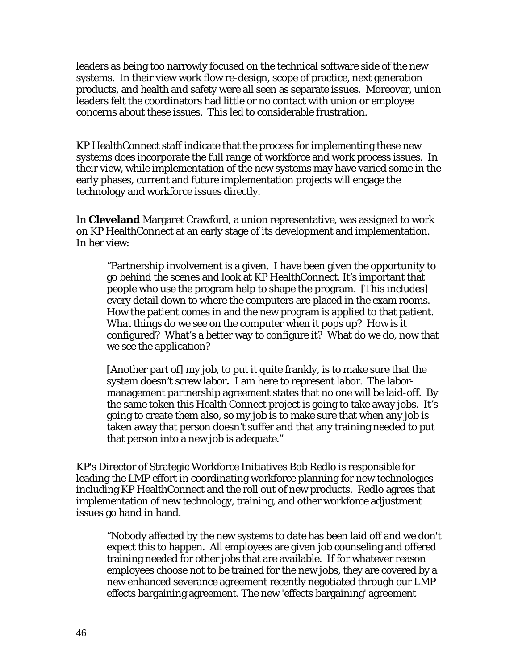leaders as being too narrowly focused on the technical software side of the new systems. In their view work flow re-design, scope of practice, next generation products, and health and safety were all seen as separate issues. Moreover, union leaders felt the coordinators had little or no contact with union or employee concerns about these issues. This led to considerable frustration.

KP HealthConnect staff indicate that the process for implementing these new systems does incorporate the full range of workforce and work process issues. In their view, while implementation of the new systems may have varied some in the early phases, current and future implementation projects will engage the technology and workforce issues directly.

In **Cleveland** Margaret Crawford, a union representative, was assigned to work on KP HealthConnect at an early stage of its development and implementation. In her view:

"Partnership involvement is a given. I have been given the opportunity to go behind the scenes and look at KP HealthConnect. It's important that people who use the program help to shape the program. [This includes] every detail down to where the computers are placed in the exam rooms. How the patient comes in and the new program is applied to that patient. What things do we see on the computer when it pops up? How is it configured? What's a better way to configure it? What do we do, now that we see the application?

[Another part of] my job, to put it quite frankly, is to make sure that the system doesn't screw labor**.** I am here to represent labor. The labormanagement partnership agreement states that no one will be laid-off. By the same token this Health Connect project is going to take away jobs. It's going to create them also, so my job is to make sure that when any job is taken away that person doesn't suffer and that any training needed to put that person into a new job is adequate."

KP's Director of Strategic Workforce Initiatives Bob Redlo is responsible for leading the LMP effort in coordinating workforce planning for new technologies including KP HealthConnect and the roll out of new products. Redlo agrees that implementation of new technology, training, and other workforce adjustment issues go hand in hand.

"Nobody affected by the new systems to date has been laid off and we don't expect this to happen. All employees are given job counseling and offered training needed for other jobs that are available. If for whatever reason employees choose not to be trained for the new jobs, they are covered by a new enhanced severance agreement recently negotiated through our LMP effects bargaining agreement. The new 'effects bargaining' agreement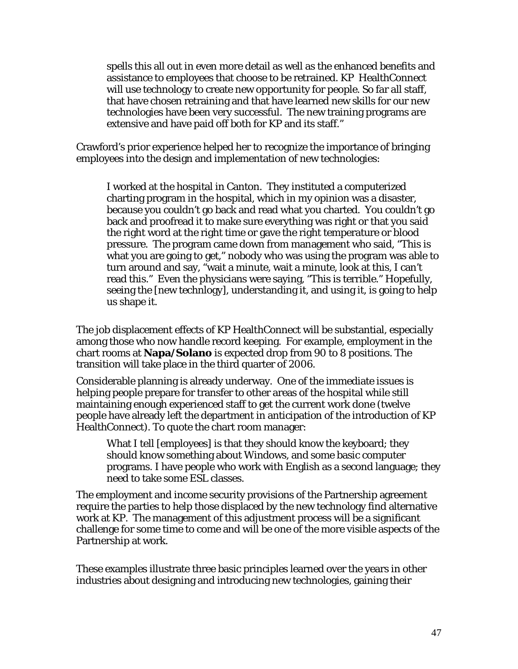spells this all out in even more detail as well as the enhanced benefits and assistance to employees that choose to be retrained. KP HealthConnect will use technology to create new opportunity for people. So far all staff, that have chosen retraining and that have learned new skills for our new technologies have been very successful. The new training programs are extensive and have paid off both for KP and its staff."

Crawford's prior experience helped her to recognize the importance of bringing employees into the design and implementation of new technologies:

 I worked at the hospital in Canton. They instituted a computerized charting program in the hospital, which in my opinion was a disaster, because you couldn't go back and read what you charted. You couldn't go back and proofread it to make sure everything was right or that you said the right word at the right time or gave the right temperature or blood pressure. The program came down from management who said, "This is what you are going to get," nobody who was using the program was able to turn around and say, "wait a minute, wait a minute, look at this, I can't read this." Even the physicians were saying, "This is terrible." Hopefully, seeing the [new technlogy], understanding it, and using it, is going to help us shape it.

The job displacement effects of KP HealthConnect will be substantial, especially among those who now handle record keeping. For example, employment in the chart rooms at **Napa/Solano** is expected drop from 90 to 8 positions. The transition will take place in the third quarter of 2006.

Considerable planning is already underway. One of the immediate issues is helping people prepare for transfer to other areas of the hospital while still maintaining enough experienced staff to get the current work done (twelve people have already left the department in anticipation of the introduction of KP HealthConnect). To quote the chart room manager:

What I tell [employees] is that they should know the keyboard; they should know something about Windows, and some basic computer programs. I have people who work with English as a second language; they need to take some ESL classes.

The employment and income security provisions of the Partnership agreement require the parties to help those displaced by the new technology find alternative work at KP. The management of this adjustment process will be a significant challenge for some time to come and will be one of the more visible aspects of the Partnership at work.

These examples illustrate three basic principles learned over the years in other industries about designing and introducing new technologies, gaining their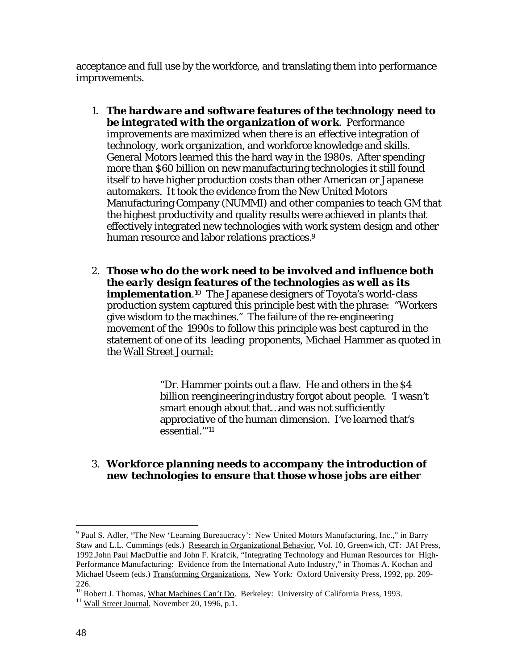acceptance and full use by the workforce, and translating them into performance improvements.

- 1. *The hardware and software features of the technology need to be integrated with the organization of work*. Performance improvements are maximized when there is an effective integration of technology, work organization, and workforce knowledge and skills. General Motors learned this the hard way in the 1980s. After spending more than \$60 billion on new manufacturing technologies it still found itself to have higher production costs than other American or Japanese automakers. It took the evidence from the New United Motors Manufacturing Company (NUMMI) and other companies to teach GM that the highest productivity and quality results were achieved in plants that effectively integrated new technologies with work system design and other human resource and labor relations practices.<sup>9</sup>
- 2. *Those who do the work need to be involved and influence both the early design features of the technologies as well as its implementation*<sup>10</sup> The Japanese designers of Toyota's world-class production system captured this principle best with the phrase: "Workers give wisdom to the machines." The failure of the re-engineering movement of the 1990s to follow this principle was best captured in the statement of one of its leading proponents, Michael Hammer as quoted in the Wall Street Journal:

"Dr. Hammer points out a flaw. He and others in the \$4 billion reengineering industry forgot about people. 'I wasn't smart enough about that…and was not sufficiently appreciative of the human dimension. I've learned that's essential.'"11

3. *Workforce planning needs to accompany the introduction of new technologies to ensure that those whose jobs are either* 

1

<sup>&</sup>lt;sup>9</sup> Paul S. Adler, "The New 'Learning Bureaucracy': New United Motors Manufacturing, Inc.," in Barry Staw and L.L. Cummings (eds.) Research in Organizational Behavior, Vol. 10, Greenwich, CT: JAI Press, 1992.John Paul MacDuffie and John F. Krafcik, "Integrating Technology and Human Resources for High-Performance Manufacturing: Evidence from the International Auto Industry," in Thomas A. Kochan and Michael Useem (eds.) Transforming Organizations, New York: Oxford University Press, 1992, pp. 209-226.

<sup>&</sup>lt;sup>10</sup> Robert J. Thomas, <u>What Machines Can't Do</u>. Berkeley: University of California Press, 1993.<br><sup>11</sup> Wall Street Journal, November 20, 1996, p.1.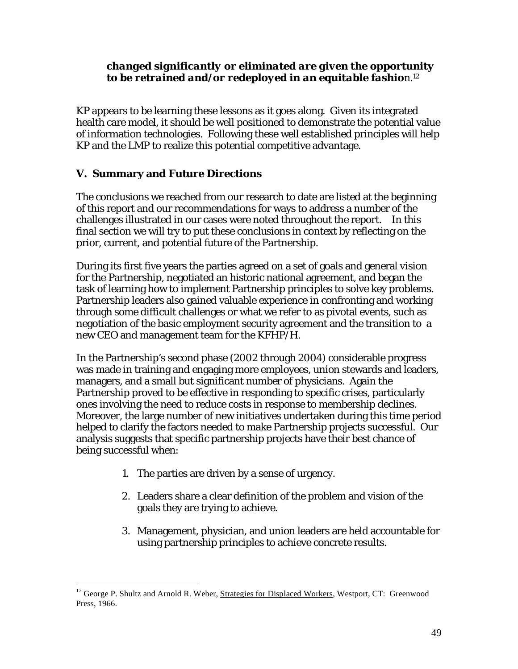## *changed significantly or eliminated are given the opportunity to be retrained and/or redeployed in an equitable fashio*n.12

KP appears to be learning these lessons as it goes along. Given its integrated health care model, it should be well positioned to demonstrate the potential value of information technologies. Following these well established principles will help KP and the LMP to realize this potential competitive advantage.

## **V. Summary and Future Directions**

The conclusions we reached from our research to date are listed at the beginning of this report and our recommendations for ways to address a number of the challenges illustrated in our cases were noted throughout the report. In this final section we will try to put these conclusions in context by reflecting on the prior, current, and potential future of the Partnership.

During its first five years the parties agreed on a set of goals and general vision for the Partnership, negotiated an historic national agreement, and began the task of learning how to implement Partnership principles to solve key problems. Partnership leaders also gained valuable experience in confronting and working through some difficult challenges or what we refer to as pivotal events, such as negotiation of the basic employment security agreement and the transition to a new CEO and management team for the KFHP/H.

In the Partnership's second phase (2002 through 2004) considerable progress was made in training and engaging more employees, union stewards and leaders, managers, and a small but significant number of physicians. Again the Partnership proved to be effective in responding to specific crises, particularly ones involving the need to reduce costs in response to membership declines. Moreover, the large number of new initiatives undertaken during this time period helped to clarify the factors needed to make Partnership projects successful. Our analysis suggests that specific partnership projects have their best chance of being successful when:

- 1. The parties are driven by a sense of urgency.
- 2. Leaders share a clear definition of the problem and vision of the goals they are trying to achieve.
- 3. Management, physician, and union leaders are held accountable for using partnership principles to achieve concrete results.

 $\overline{a}$ <sup>12</sup> George P. Shultz and Arnold R. Weber, Strategies for Displaced Workers, Westport, CT: Greenwood Press, 1966.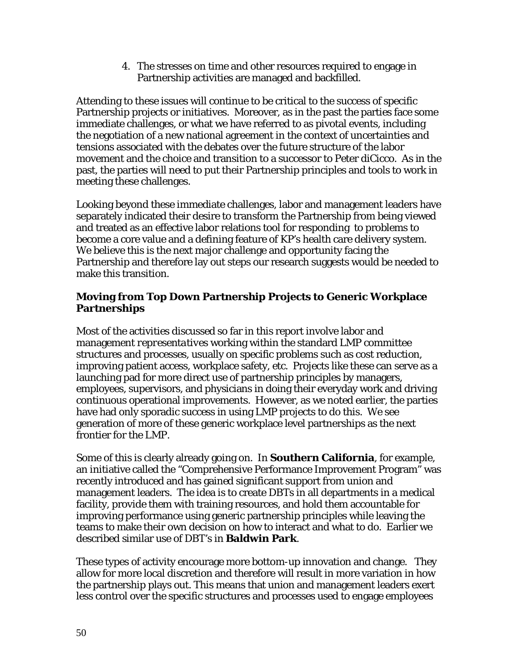4. The stresses on time and other resources required to engage in Partnership activities are managed and backfilled.

Attending to these issues will continue to be critical to the success of specific Partnership projects or initiatives. Moreover, as in the past the parties face some immediate challenges, or what we have referred to as pivotal events, including the negotiation of a new national agreement in the context of uncertainties and tensions associated with the debates over the future structure of the labor movement and the choice and transition to a successor to Peter diCicco. As in the past, the parties will need to put their Partnership principles and tools to work in meeting these challenges.

Looking beyond these immediate challenges, labor and management leaders have separately indicated their desire to transform the Partnership from being viewed and treated as an effective labor relations tool for responding to problems to become a core value and a defining feature of KP's health care delivery system. We believe this is the next major challenge and opportunity facing the Partnership and therefore lay out steps our research suggests would be needed to make this transition.

## **Moving from Top Down Partnership Projects to Generic Workplace Partnerships**

Most of the activities discussed so far in this report involve labor and management *representatives* working within the standard LMP committee structures and processes, usually on specific problems such as cost reduction, improving patient access, workplace safety, etc. Projects like these can serve as a launching pad for more direct use of partnership principles by managers, employees, supervisors, and physicians in doing their everyday work and driving continuous operational improvements. However, as we noted earlier, the parties have had only sporadic success in using LMP projects to do this. We see generation of more of these generic workplace level partnerships as the next frontier for the LMP.

Some of this is clearly already going on. In **Southern California**, for example, an initiative called the "Comprehensive Performance Improvement Program" was recently introduced and has gained significant support from union and management leaders. The idea is to create DBTs in all departments in a medical facility, provide them with training resources, and hold them accountable for improving performance using generic partnership principles while leaving the teams to make their own decision on how to interact and what to do. Earlier we described similar use of DBT's in **Baldwin Park**.

These types of activity encourage more bottom-up innovation and change. They allow for more local discretion and therefore will result in more variation in how the partnership plays out. This means that union and management leaders exert less control over the specific structures and processes used to engage employees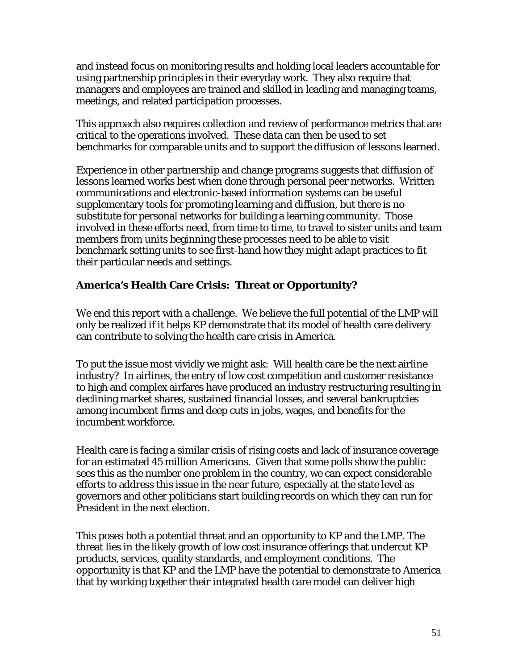and instead focus on monitoring results and holding local leaders accountable for using partnership principles in their everyday work. They also require that managers and employees are trained and skilled in leading and managing teams, meetings, and related participation processes.

This approach also requires collection and review of performance metrics that are critical to the operations involved. These data can then be used to set benchmarks for comparable units and to support the diffusion of lessons learned.

Experience in other partnership and change programs suggests that diffusion of lessons learned works best when done through personal peer networks. Written communications and electronic-based information systems can be useful supplementary tools for promoting learning and diffusion, but there is no substitute for personal networks for building a learning community. Those involved in these efforts need, from time to time, to travel to sister units and team members from units beginning these processes need to be able to visit benchmark setting units to see first-hand how they might adapt practices to fit their particular needs and settings.

## **America's Health Care Crisis: Threat or Opportunity?**

We end this report with a challenge. We believe the full potential of the LMP will only be realized if it helps KP demonstrate that its model of health care delivery can contribute to solving the health care crisis in America.

To put the issue most vividly we might ask: Will health care be the next airline industry? In airlines, the entry of low cost competition and customer resistance to high and complex airfares have produced an industry restructuring resulting in declining market shares, sustained financial losses, and several bankruptcies among incumbent firms and deep cuts in jobs, wages, and benefits for the incumbent workforce.

Health care is facing a similar crisis of rising costs and lack of insurance coverage for an estimated 45 million Americans. Given that some polls show the public sees this as the number one problem in the country, we can expect considerable efforts to address this issue in the near future, especially at the state level as governors and other politicians start building records on which they can run for President in the next election.

This poses both a potential threat and an opportunity to KP and the LMP. The threat lies in the likely growth of low cost insurance offerings that undercut KP products, services, quality standards, and employment conditions. The opportunity is that KP and the LMP have the potential to demonstrate to America that by working together their integrated health care model can deliver high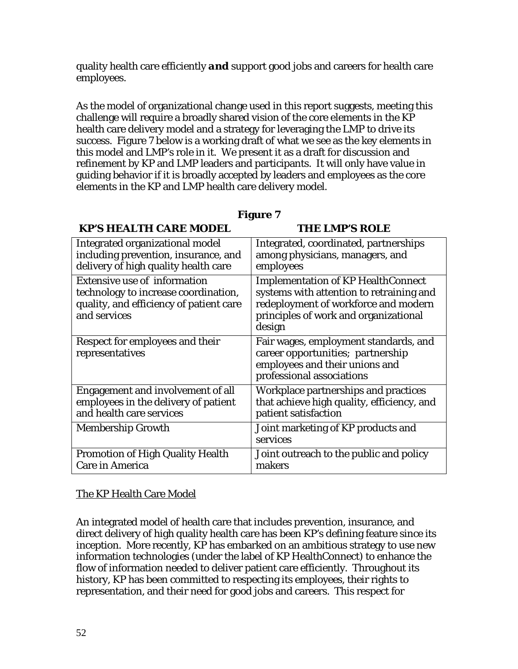quality health care efficiently *and* support good jobs and careers for health care employees.

As the model of organizational change used in this report suggests, meeting this challenge will require a broadly shared vision of the core elements in the KP health care delivery model and a strategy for leveraging the LMP to drive its success. Figure 7 below is a working draft of what we see as the key elements in this model and LMP's role in it. We present it as a draft for discussion and refinement by KP and LMP leaders and participants. It will only have value in guiding behavior if it is broadly accepted by leaders and employees as the core elements in the KP and LMP health care delivery model.

## **Figure 7**

## **KP'S HEALTH CARE MODEL THE LMP'S ROLE**

| Integrated organizational model                                                                                                 | Integrated, coordinated, partnerships                                                                                                                                     |
|---------------------------------------------------------------------------------------------------------------------------------|---------------------------------------------------------------------------------------------------------------------------------------------------------------------------|
| including prevention, insurance, and                                                                                            | among physicians, managers, and                                                                                                                                           |
| delivery of high quality health care                                                                                            | employees                                                                                                                                                                 |
| Extensive use of information<br>technology to increase coordination,<br>quality, and efficiency of patient care<br>and services | Implementation of KP HealthConnect<br>systems with attention to retraining and<br>redeployment of workforce and modern<br>principles of work and organizational<br>design |
| Respect for employees and their<br>representatives                                                                              | Fair wages, employment standards, and<br>career opportunities; partnership<br>employees and their unions and<br>professional associations                                 |
| Engagement and involvement of all                                                                                               | Workplace partnerships and practices                                                                                                                                      |
| employees in the delivery of patient                                                                                            | that achieve high quality, efficiency, and                                                                                                                                |
| and health care services                                                                                                        | patient satisfaction                                                                                                                                                      |
| Membership Growth                                                                                                               | Joint marketing of KP products and<br>services                                                                                                                            |
| Promotion of High Quality Health                                                                                                | Joint outreach to the public and policy                                                                                                                                   |
| Care in America                                                                                                                 | makers                                                                                                                                                                    |

## The KP Health Care Model

An integrated model of health care that includes prevention, insurance, and direct delivery of high quality health care has been KP's defining feature since its inception. More recently, KP has embarked on an ambitious strategy to use new information technologies (under the label of KP HealthConnect) to enhance the flow of information needed to deliver patient care efficiently. Throughout its history, KP has been committed to respecting its employees, their rights to representation, and their need for good jobs and careers. This respect for